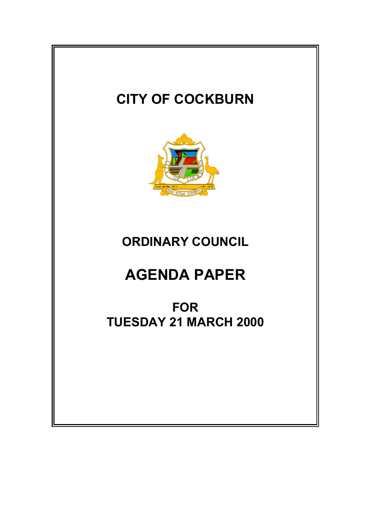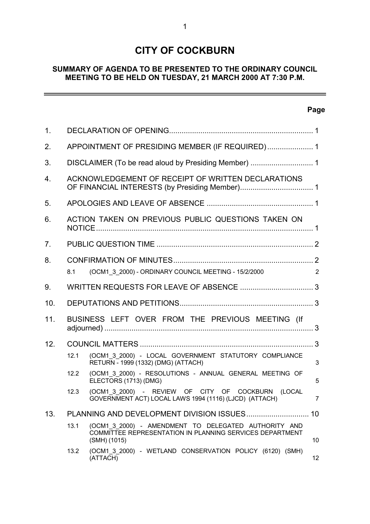# **CITY OF COCKBURN**

# **SUMMARY OF AGENDA TO BE PRESENTED TO THE ORDINARY COUNCIL MEETING TO BE HELD ON TUESDAY, 21 MARCH 2000 AT 7:30 P.M.**

# **Page**

 $\overline{a}$ 

| 1 <sub>1</sub> |                                                                               |                                                                                                                                  |                 |  |
|----------------|-------------------------------------------------------------------------------|----------------------------------------------------------------------------------------------------------------------------------|-----------------|--|
| 2.             | APPOINTMENT OF PRESIDING MEMBER (IF REQUIRED) 1                               |                                                                                                                                  |                 |  |
| 3.             |                                                                               |                                                                                                                                  |                 |  |
| 4.             | ACKNOWLEDGEMENT OF RECEIPT OF WRITTEN DECLARATIONS                            |                                                                                                                                  |                 |  |
| 5.             |                                                                               |                                                                                                                                  |                 |  |
| 6.             | ACTION TAKEN ON PREVIOUS PUBLIC QUESTIONS TAKEN ON                            |                                                                                                                                  |                 |  |
| 7 <sub>1</sub> |                                                                               |                                                                                                                                  |                 |  |
| 8.             | (OCM1_3_2000) - ORDINARY COUNCIL MEETING - 15/2/2000<br>$\overline{2}$<br>8.1 |                                                                                                                                  |                 |  |
| 9.             |                                                                               |                                                                                                                                  |                 |  |
| 10.            |                                                                               |                                                                                                                                  |                 |  |
| 11.            | BUSINESS LEFT OVER FROM THE PREVIOUS MEETING (If                              |                                                                                                                                  |                 |  |
| 12.            |                                                                               |                                                                                                                                  |                 |  |
|                | 12.1                                                                          | (OCM1 3 2000) - LOCAL GOVERNMENT STATUTORY COMPLIANCE<br>RETURN - 1999 (1332) (DMG) (ATTACH)                                     | 3               |  |
|                | 12.2                                                                          | (OCM1 3 2000) - RESOLUTIONS - ANNUAL GENERAL MEETING OF<br>ELECTORS (1713) (DMG)                                                 | 5               |  |
|                | 12.3                                                                          | (OCM1 3 2000) - REVIEW OF CITY OF COCKBURN<br>(LOCAL<br>GOVERNMENT ACT) LOCAL LAWS 1994 (1116) (LJCD) (ATTACH)                   | $\overline{7}$  |  |
| 13.            |                                                                               |                                                                                                                                  | 10              |  |
|                | 13.1                                                                          | (OCM1 3 2000) - AMENDMENT TO DELEGATED AUTHORITY AND<br>COMMITTEE REPRESENTATION IN PLANNING SERVICES DEPARTMENT<br>(SMH) (1015) | 10              |  |
|                | 13.2                                                                          | (OCM1 3 2000) - WETLAND CONSERVATION POLICY (6120) (SMH)<br>(ATTACH)                                                             | 12 <sup>°</sup> |  |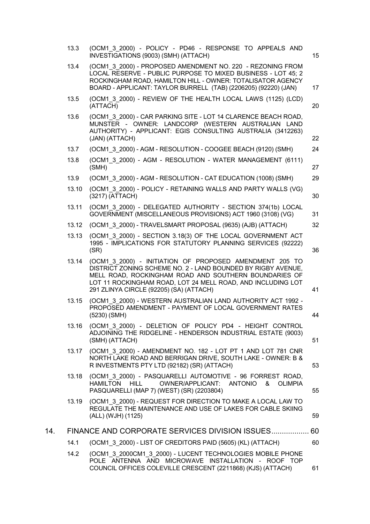|     | 13.3  | (OCM1 3 2000) - POLICY - PD46 - RESPONSE TO APPEALS AND<br>INVESTIGATIONS (9003) (SMH) (ATTACH)                                                                                                                                                                                            | 15 |
|-----|-------|--------------------------------------------------------------------------------------------------------------------------------------------------------------------------------------------------------------------------------------------------------------------------------------------|----|
|     | 13.4  | (OCM1_3_2000) - PROPOSED AMENDMENT NO. 220 - REZONING FROM<br>LOCAL RESERVE - PUBLIC PURPOSE TO MIXED BUSINESS - LOT 45; 2<br>ROCKINGHAM ROAD, HAMILTON HILL - OWNER: TOTALISATOR AGENCY<br>BOARD - APPLICANT: TAYLOR BURRELL (TAB) (2206205) (92220) (JAN)                                | 17 |
|     | 13.5  | (OCM1 3 2000) - REVIEW OF THE HEALTH LOCAL LAWS (1125) (LCD)<br>(ATTACH)                                                                                                                                                                                                                   | 20 |
|     | 13.6  | (OCM1 3 2000) - CAR PARKING SITE - LOT 14 CLARENCE BEACH ROAD,<br>MUNSTER - OWNER: LANDCORP (WESTERN AUSTRALIAN LAND<br>AUTHORITY) - APPLICANT: EGIS CONSULTING AUSTRALIA (3412263)<br>(JAN) (ATTACH)                                                                                      | 22 |
|     | 13.7  | (OCM1 3 2000) - AGM - RESOLUTION - COOGEE BEACH (9120) (SMH)                                                                                                                                                                                                                               | 24 |
|     | 13.8  | (OCM1_3_2000) - AGM - RESOLUTION - WATER MANAGEMENT (6111)<br>(SMH)                                                                                                                                                                                                                        | 27 |
|     | 13.9  | (OCM1 3 2000) - AGM - RESOLUTION - CAT EDUCATION (1008) (SMH)                                                                                                                                                                                                                              | 29 |
|     | 13.10 | (OCM1 3 2000) - POLICY - RETAINING WALLS AND PARTY WALLS (VG)<br>(3217) (ATTACH)                                                                                                                                                                                                           | 30 |
|     | 13.11 | (OCM1 3 2000) - DELEGATED AUTHORITY - SECTION 374(1b) LOCAL<br>GOVERNMENT (MISCELLANEOUS PROVISIONS) ACT 1960 (3108) (VG)                                                                                                                                                                  | 31 |
|     | 13.12 | (OCM1 3 2000) - TRAVELSMART PROPOSAL (9635) (AJB) (ATTACH)                                                                                                                                                                                                                                 | 32 |
|     | 13.13 | (OCM1 3 2000) - SECTION 3.18(3) OF THE LOCAL GOVERNMENT ACT<br>1995 - IMPLICATIONS FOR STATUTORY PLANNING SERVICES (92222)<br>(SR)                                                                                                                                                         | 36 |
|     | 13.14 | (OCM1 3 2000) - INITIATION OF PROPOSED AMENDMENT 205 TO<br>DISTRICT ZONING SCHEME NO. 2 - LAND BOUNDED BY RIGBY AVENUE,<br>MELL ROAD, ROCKINGHAM ROAD AND SOUTHERN BOUNDARIES OF<br>LOT 11 ROCKINGHAM ROAD, LOT 24 MELL ROAD, AND INCLUDING LOT<br>291 ZLINYA CIRCLE (92205) (SA) (ATTACH) | 41 |
|     | 13.15 | (OCM1 3 2000) - WESTERN AUSTRALIAN LAND AUTHORITY ACT 1992 -<br>PROPOSED AMENDMENT - PAYMENT OF LOCAL GOVERNMENT RATES<br>$(5230)$ (SMH)                                                                                                                                                   | 44 |
|     | 13.16 | (OCM1 3 2000) - DELETION OF POLICY PD4 - HEIGHT CONTROL<br>ADJOINING THE RIDGELINE - HENDERSON INDUSTRIAL ESTATE (9003)<br>(SMH) (ATTACH)                                                                                                                                                  | 51 |
|     | 13.17 | (OCM1 3 2000) - AMENDMENT NO. 182 - LOT PT 1 AND LOT 781 CNR<br>NORTH LAKE ROAD AND BERRIGAN DRIVE, SOUTH LAKE - OWNER: B &<br>R INVESTMENTS PTY LTD (92182) (SR) (ATTACH)                                                                                                                 | 53 |
|     | 13.18 | (OCM1 3 2000) - PASQUARELLI AUTOMOTIVE - 96 FORREST ROAD,<br><b>HILL</b><br><b>OWNER/APPLICANT:</b><br>ANTONIO<br>HAMILTON<br>$\boldsymbol{\mathcal{S}}$<br><b>OLIMPIA</b><br>PASQUARELLI (MAP 7) (WEST) (SR) (2203804)                                                                    | 55 |
|     | 13.19 | (OCM1 3 2000) - REQUEST FOR DIRECTION TO MAKE A LOCAL LAW TO<br>REGULATE THE MAINTENANCE AND USE OF LAKES FOR CABLE SKIING<br>(ALL) (WJH) (1125)                                                                                                                                           | 59 |
| 14. |       | FINANCE AND CORPORATE SERVICES DIVISION ISSUES 60                                                                                                                                                                                                                                          |    |
|     | 14.1  | (OCM1 3 2000) - LIST OF CREDITORS PAID (5605) (KL) (ATTACH)                                                                                                                                                                                                                                | 60 |
|     | 14.2  | (OCM1 3 2000CM1 3 2000) - LUCENT TECHNOLOGIES MOBILE PHONE<br>POLE ANTENNA AND MICROWAVE INSTALLATION - ROOF TOP<br>COUNCIL OFFICES COLEVILLE CRESCENT (2211868) (KJS) (ATTACH)                                                                                                            | 61 |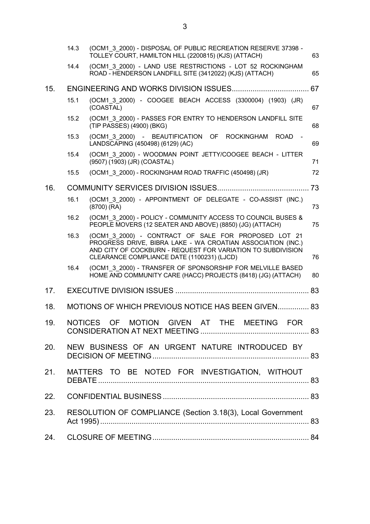|     | 14.3 | (OCM1 3 2000) - DISPOSAL OF PUBLIC RECREATION RESERVE 37398 -<br>TOLLEY COURT, HAMILTON HILL (2200815) (KJS) (ATTACH)                                                                                                            | 63 |
|-----|------|----------------------------------------------------------------------------------------------------------------------------------------------------------------------------------------------------------------------------------|----|
|     | 14.4 | (OCM1 3 2000) - LAND USE RESTRICTIONS - LOT 52 ROCKINGHAM<br>ROAD - HENDERSON LANDFILL SITE (3412022) (KJS) (ATTACH)                                                                                                             | 65 |
| 15. |      |                                                                                                                                                                                                                                  | 67 |
|     | 15.1 | (OCM1 3 2000) - COOGEE BEACH ACCESS (3300004) (1903) (JR)<br>(COASTAL)                                                                                                                                                           | 67 |
|     | 15.2 | (OCM1 3 2000) - PASSES FOR ENTRY TO HENDERSON LANDFILL SITE<br>(TIP PASSES) (4900) (BKG)                                                                                                                                         | 68 |
|     | 15.3 | (OCM1 3 2000) - BEAUTIFICATION OF ROCKINGHAM<br><b>ROAD</b><br>LANDSCAPING (450498) (6129) (AC)                                                                                                                                  | 69 |
|     | 15.4 | (OCM1 3 2000) - WOODMAN POINT JETTY/COOGEE BEACH - LITTER<br>(9507) (1903) (JR) (COASTAL)                                                                                                                                        | 71 |
|     | 15.5 | (OCM1 3 2000) - ROCKINGHAM ROAD TRAFFIC (450498) (JR)                                                                                                                                                                            | 72 |
| 16. |      |                                                                                                                                                                                                                                  |    |
|     | 16.1 | (OCM1 3 2000) - APPOINTMENT OF DELEGATE - CO-ASSIST (INC.)<br>$(8700)$ (RA)                                                                                                                                                      | 73 |
|     | 16.2 | (OCM1 3 2000) - POLICY - COMMUNITY ACCESS TO COUNCIL BUSES &<br>PEOPLE MOVERS (12 SEATER AND ABOVE) (8850) (JG) (ATTACH)                                                                                                         | 75 |
|     | 16.3 | (OCM1 3 2000) - CONTRACT OF SALE FOR PROPOSED LOT 21<br>PROGRESS DRIVE, BIBRA LAKE - WA CROATIAN ASSOCIATION (INC.)<br>AND CITY OF COCKBURN - REQUEST FOR VARIATION TO SUBDIVISION<br>CLEARANCE COMPLIANCE DATE (1100231) (LJCD) | 76 |
|     | 16.4 | (OCM1 3 2000) - TRANSFER OF SPONSORSHIP FOR MELVILLE BASED<br>HOME AND COMMUNITY CARE (HACC) PROJECTS (8418) (JG) (ATTACH)                                                                                                       | 80 |
| 17. |      |                                                                                                                                                                                                                                  |    |
| 18. |      | MOTIONS OF WHICH PREVIOUS NOTICE HAS BEEN GIVEN 83                                                                                                                                                                               |    |
| 19. |      | NOTICES OF MOTION GIVEN AT THE MEETING FOR                                                                                                                                                                                       |    |
| 20. |      | NEW BUSINESS OF AN URGENT NATURE INTRODUCED BY                                                                                                                                                                                   |    |
| 21. |      | MATTERS TO BE NOTED FOR INVESTIGATION, WITHOUT                                                                                                                                                                                   |    |
|     |      |                                                                                                                                                                                                                                  |    |
| 23. |      | RESOLUTION OF COMPLIANCE (Section 3.18(3), Local Government                                                                                                                                                                      |    |
| 24. |      |                                                                                                                                                                                                                                  |    |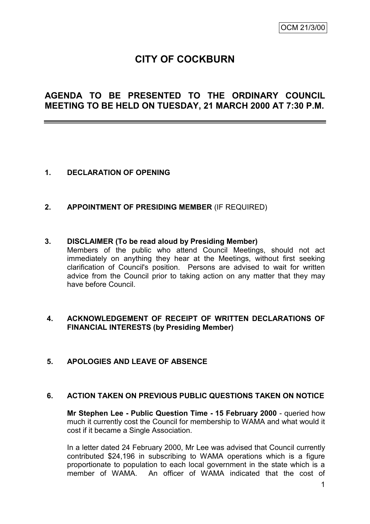# **CITY OF COCKBURN**

# **AGENDA TO BE PRESENTED TO THE ORDINARY COUNCIL MEETING TO BE HELD ON TUESDAY, 21 MARCH 2000 AT 7:30 P.M.**

# **1. DECLARATION OF OPENING**

**2. APPOINTMENT OF PRESIDING MEMBER** (IF REQUIRED)

#### **3. DISCLAIMER (To be read aloud by Presiding Member)**

Members of the public who attend Council Meetings, should not act immediately on anything they hear at the Meetings, without first seeking clarification of Council's position. Persons are advised to wait for written advice from the Council prior to taking action on any matter that they may have before Council.

#### **4. ACKNOWLEDGEMENT OF RECEIPT OF WRITTEN DECLARATIONS OF FINANCIAL INTERESTS (by Presiding Member)**

#### **5. APOLOGIES AND LEAVE OF ABSENCE**

#### **6. ACTION TAKEN ON PREVIOUS PUBLIC QUESTIONS TAKEN ON NOTICE**

**Mr Stephen Lee - Public Question Time - 15 February 2000** - queried how much it currently cost the Council for membership to WAMA and what would it cost if it became a Single Association.

In a letter dated 24 February 2000, Mr Lee was advised that Council currently contributed \$24,196 in subscribing to WAMA operations which is a figure proportionate to population to each local government in the state which is a member of WAMA. An officer of WAMA indicated that the cost of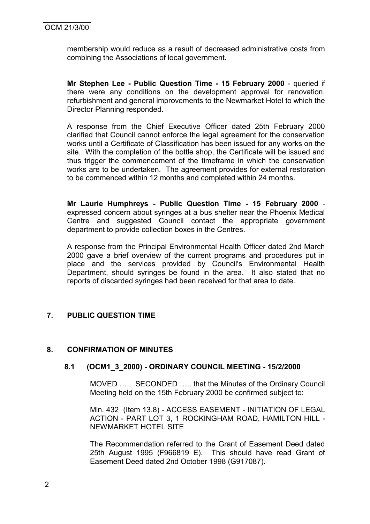membership would reduce as a result of decreased administrative costs from combining the Associations of local government.

**Mr Stephen Lee - Public Question Time - 15 February 2000** - queried if there were any conditions on the development approval for renovation, refurbishment and general improvements to the Newmarket Hotel to which the Director Planning responded.

A response from the Chief Executive Officer dated 25th February 2000 clarified that Council cannot enforce the legal agreement for the conservation works until a Certificate of Classification has been issued for any works on the site. With the completion of the bottle shop, the Certificate will be issued and thus trigger the commencement of the timeframe in which the conservation works are to be undertaken. The agreement provides for external restoration to be commenced within 12 months and completed within 24 months.

**Mr Laurie Humphreys - Public Question Time - 15 February 2000** expressed concern about syringes at a bus shelter near the Phoenix Medical Centre and suggested Council contact the appropriate government department to provide collection boxes in the Centres.

A response from the Principal Environmental Health Officer dated 2nd March 2000 gave a brief overview of the current programs and procedures put in place and the services provided by Council's Environmental Health Department, should syringes be found in the area. It also stated that no reports of discarded syringes had been received for that area to date.

# **7. PUBLIC QUESTION TIME**

#### **8. CONFIRMATION OF MINUTES**

#### **8.1 (OCM1\_3\_2000) - ORDINARY COUNCIL MEETING - 15/2/2000**

MOVED ….. SECONDED ….. that the Minutes of the Ordinary Council Meeting held on the 15th February 2000 be confirmed subject to:

Min. 432 (Item 13.8) - ACCESS EASEMENT - INITIATION OF LEGAL ACTION - PART LOT 3, 1 ROCKINGHAM ROAD, HAMILTON HILL - NEWMARKET HOTEL SITE

The Recommendation referred to the Grant of Easement Deed dated 25th August 1995 (F966819 E). This should have read Grant of Easement Deed dated 2nd October 1998 (G917087).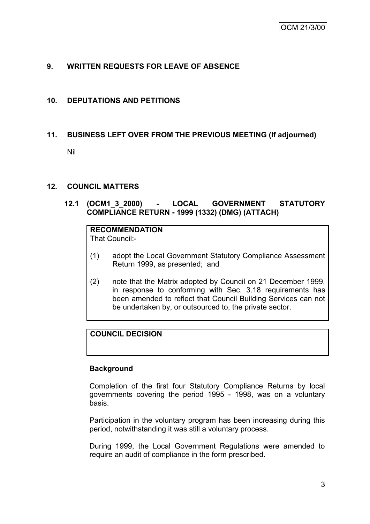# **9. WRITTEN REQUESTS FOR LEAVE OF ABSENCE**

#### **10. DEPUTATIONS AND PETITIONS**

#### **11. BUSINESS LEFT OVER FROM THE PREVIOUS MEETING (If adjourned)**

Nil

#### **12. COUNCIL MATTERS**

# **12.1 (OCM1\_3\_2000) - LOCAL GOVERNMENT STATUTORY COMPLIANCE RETURN - 1999 (1332) (DMG) (ATTACH)**

# **RECOMMENDATION**

That Council:-

- (1) adopt the Local Government Statutory Compliance Assessment Return 1999, as presented; and
- (2) note that the Matrix adopted by Council on 21 December 1999, in response to conforming with Sec. 3.18 requirements has been amended to reflect that Council Building Services can not be undertaken by, or outsourced to, the private sector.

### **COUNCIL DECISION**

#### **Background**

Completion of the first four Statutory Compliance Returns by local governments covering the period 1995 - 1998, was on a voluntary basis.

Participation in the voluntary program has been increasing during this period, notwithstanding it was still a voluntary process.

During 1999, the Local Government Regulations were amended to require an audit of compliance in the form prescribed.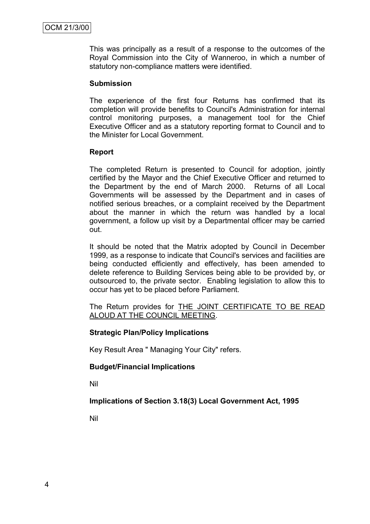This was principally as a result of a response to the outcomes of the Royal Commission into the City of Wanneroo, in which a number of statutory non-compliance matters were identified.

#### **Submission**

The experience of the first four Returns has confirmed that its completion will provide benefits to Council's Administration for internal control monitoring purposes, a management tool for the Chief Executive Officer and as a statutory reporting format to Council and to the Minister for Local Government.

#### **Report**

The completed Return is presented to Council for adoption, jointly certified by the Mayor and the Chief Executive Officer and returned to the Department by the end of March 2000. Returns of all Local Governments will be assessed by the Department and in cases of notified serious breaches, or a complaint received by the Department about the manner in which the return was handled by a local government, a follow up visit by a Departmental officer may be carried out.

It should be noted that the Matrix adopted by Council in December 1999, as a response to indicate that Council's services and facilities are being conducted efficiently and effectively, has been amended to delete reference to Building Services being able to be provided by, or outsourced to, the private sector. Enabling legislation to allow this to occur has yet to be placed before Parliament.

The Return provides for THE JOINT CERTIFICATE TO BE READ ALOUD AT THE COUNCIL MEETING.

#### **Strategic Plan/Policy Implications**

Key Result Area " Managing Your City" refers.

#### **Budget/Financial Implications**

Nil

# **Implications of Section 3.18(3) Local Government Act, 1995**

Nil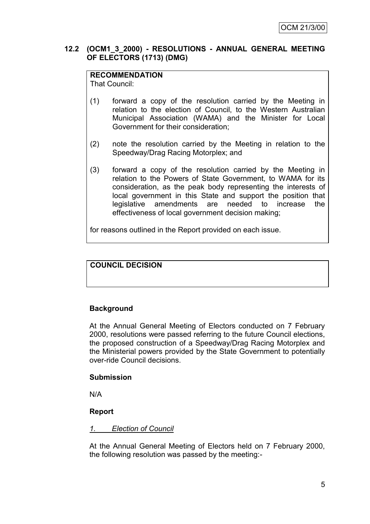#### **12.2 (OCM1\_3\_2000) - RESOLUTIONS - ANNUAL GENERAL MEETING OF ELECTORS (1713) (DMG)**

# **RECOMMENDATION**

That Council:

- (1) forward a copy of the resolution carried by the Meeting in relation to the election of Council, to the Western Australian Municipal Association (WAMA) and the Minister for Local Government for their consideration;
- (2) note the resolution carried by the Meeting in relation to the Speedway/Drag Racing Motorplex; and
- (3) forward a copy of the resolution carried by the Meeting in relation to the Powers of State Government, to WAMA for its consideration, as the peak body representing the interests of local government in this State and support the position that legislative amendments are needed to increase the effectiveness of local government decision making;

for reasons outlined in the Report provided on each issue.

# **COUNCIL DECISION**

#### **Background**

At the Annual General Meeting of Electors conducted on 7 February 2000, resolutions were passed referring to the future Council elections, the proposed construction of a Speedway/Drag Racing Motorplex and the Ministerial powers provided by the State Government to potentially over-ride Council decisions.

#### **Submission**

N/A

#### **Report**

#### *1. Election of Council*

At the Annual General Meeting of Electors held on 7 February 2000, the following resolution was passed by the meeting:-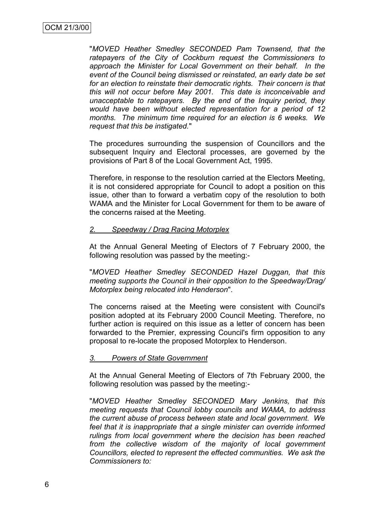"*MOVED Heather Smedley SECONDED Pam Townsend, that the ratepayers of the City of Cockburn request the Commissioners to approach the Minister for Local Government on their behalf. In the event of the Council being dismissed or reinstated, an early date be set for an election to reinstate their democratic rights. Their concern is that this will not occur before May 2001. This date is inconceivable and unacceptable to ratepayers. By the end of the Inquiry period, they would have been without elected representation for a period of 12 months. The minimum time required for an election is 6 weeks. We request that this be instigated.*"

The procedures surrounding the suspension of Councillors and the subsequent Inquiry and Electoral processes, are governed by the provisions of Part 8 of the Local Government Act, 1995.

Therefore, in response to the resolution carried at the Electors Meeting, it is not considered appropriate for Council to adopt a position on this issue, other than to forward a verbatim copy of the resolution to both WAMA and the Minister for Local Government for them to be aware of the concerns raised at the Meeting.

#### *2. Speedway / Drag Racing Motorplex*

At the Annual General Meeting of Electors of 7 February 2000, the following resolution was passed by the meeting:-

"*MOVED Heather Smedley SECONDED Hazel Duggan, that this meeting supports the Council in their opposition to the Speedway/Drag/ Motorplex being relocated into Henderson*".

The concerns raised at the Meeting were consistent with Council's position adopted at its February 2000 Council Meeting. Therefore, no further action is required on this issue as a letter of concern has been forwarded to the Premier, expressing Council's firm opposition to any proposal to re-locate the proposed Motorplex to Henderson.

#### *3. Powers of State Government*

At the Annual General Meeting of Electors of 7th February 2000, the following resolution was passed by the meeting:-

"*MOVED Heather Smedley SECONDED Mary Jenkins, that this meeting requests that Council lobby councils and WAMA, to address the current abuse of process between state and local government. We feel that it is inappropriate that a single minister can override informed rulings from local government where the decision has been reached from the collective wisdom of the majority of local government Councillors, elected to represent the effected communities. We ask the Commissioners to:*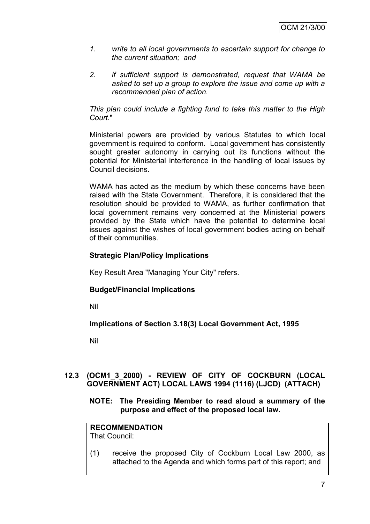- *1. write to all local governments to ascertain support for change to the current situation; and*
- *2. if sufficient support is demonstrated, request that WAMA be asked to set up a group to explore the issue and come up with a recommended plan of action.*

*This plan could include a fighting fund to take this matter to the High Court.*"

Ministerial powers are provided by various Statutes to which local government is required to conform. Local government has consistently sought greater autonomy in carrying out its functions without the potential for Ministerial interference in the handling of local issues by Council decisions.

WAMA has acted as the medium by which these concerns have been raised with the State Government. Therefore, it is considered that the resolution should be provided to WAMA, as further confirmation that local government remains very concerned at the Ministerial powers provided by the State which have the potential to determine local issues against the wishes of local government bodies acting on behalf of their communities.

# **Strategic Plan/Policy Implications**

Key Result Area "Managing Your City" refers.

# **Budget/Financial Implications**

Nil

# **Implications of Section 3.18(3) Local Government Act, 1995**

Nil

# **12.3 (OCM1\_3\_2000) - REVIEW OF CITY OF COCKBURN (LOCAL GOVERNMENT ACT) LOCAL LAWS 1994 (1116) (LJCD) (ATTACH)**

#### **NOTE: The Presiding Member to read aloud a summary of the purpose and effect of the proposed local law.**

#### **RECOMMENDATION** That Council:

(1) receive the proposed City of Cockburn Local Law 2000, as attached to the Agenda and which forms part of this report; and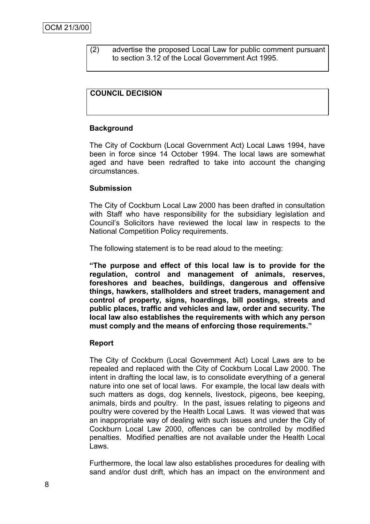(2) advertise the proposed Local Law for public comment pursuant to section 3.12 of the Local Government Act 1995.

### **COUNCIL DECISION**

#### **Background**

The City of Cockburn (Local Government Act) Local Laws 1994, have been in force since 14 October 1994. The local laws are somewhat aged and have been redrafted to take into account the changing circumstances.

#### **Submission**

The City of Cockburn Local Law 2000 has been drafted in consultation with Staff who have responsibility for the subsidiary legislation and Council's Solicitors have reviewed the local law in respects to the National Competition Policy requirements.

The following statement is to be read aloud to the meeting:

**"The purpose and effect of this local law is to provide for the regulation, control and management of animals, reserves, foreshores and beaches, buildings, dangerous and offensive things, hawkers, stallholders and street traders, management and control of property, signs, hoardings, bill postings, streets and public places, traffic and vehicles and law, order and security. The local law also establishes the requirements with which any person must comply and the means of enforcing those requirements."**

#### **Report**

The City of Cockburn (Local Government Act) Local Laws are to be repealed and replaced with the City of Cockburn Local Law 2000. The intent in drafting the local law, is to consolidate everything of a general nature into one set of local laws. For example, the local law deals with such matters as dogs, dog kennels, livestock, pigeons, bee keeping, animals, birds and poultry. In the past, issues relating to pigeons and poultry were covered by the Health Local Laws. It was viewed that was an inappropriate way of dealing with such issues and under the City of Cockburn Local Law 2000, offences can be controlled by modified penalties. Modified penalties are not available under the Health Local Laws.

Furthermore, the local law also establishes procedures for dealing with sand and/or dust drift, which has an impact on the environment and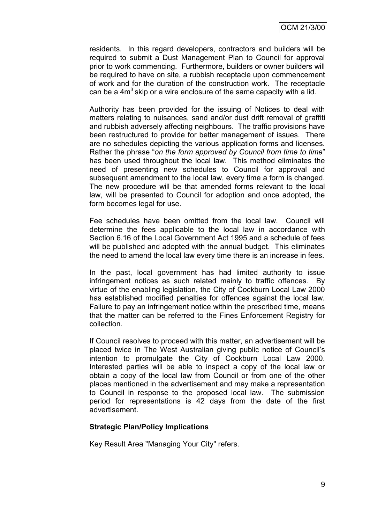residents. In this regard developers, contractors and builders will be required to submit a Dust Management Plan to Council for approval prior to work commencing. Furthermore, builders or owner builders will be required to have on site, a rubbish receptacle upon commencement of work and for the duration of the construction work. The receptacle can be a  $4m<sup>3</sup>$  skip or a wire enclosure of the same capacity with a lid.

Authority has been provided for the issuing of Notices to deal with matters relating to nuisances, sand and/or dust drift removal of graffiti and rubbish adversely affecting neighbours. The traffic provisions have been restructured to provide for better management of issues. There are no schedules depicting the various application forms and licenses. Rather the phrase "*on the form approved by Council from time to time*" has been used throughout the local law. This method eliminates the need of presenting new schedules to Council for approval and subsequent amendment to the local law, every time a form is changed. The new procedure will be that amended forms relevant to the local law, will be presented to Council for adoption and once adopted, the form becomes legal for use.

Fee schedules have been omitted from the local law. Council will determine the fees applicable to the local law in accordance with Section 6.16 of the Local Government Act 1995 and a schedule of fees will be published and adopted with the annual budget. This eliminates the need to amend the local law every time there is an increase in fees.

In the past, local government has had limited authority to issue infringement notices as such related mainly to traffic offences. By virtue of the enabling legislation, the City of Cockburn Local Law 2000 has established modified penalties for offences against the local law. Failure to pay an infringement notice within the prescribed time, means that the matter can be referred to the Fines Enforcement Registry for collection.

If Council resolves to proceed with this matter, an advertisement will be placed twice in The West Australian giving public notice of Council's intention to promulgate the City of Cockburn Local Law 2000. Interested parties will be able to inspect a copy of the local law or obtain a copy of the local law from Council or from one of the other places mentioned in the advertisement and may make a representation to Council in response to the proposed local law. The submission period for representations is 42 days from the date of the first advertisement.

#### **Strategic Plan/Policy Implications**

Key Result Area "Managing Your City" refers.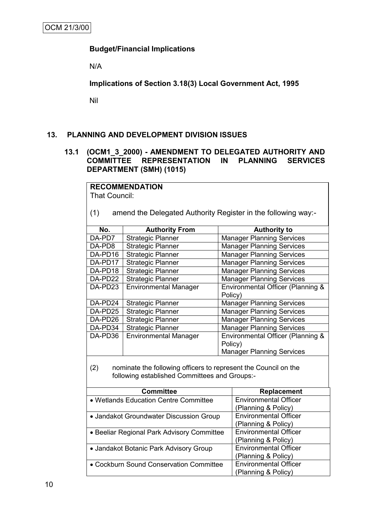# **Budget/Financial Implications**

N/A

**Implications of Section 3.18(3) Local Government Act, 1995**

Nil

# **13. PLANNING AND DEVELOPMENT DIVISION ISSUES**

#### **13.1 (OCM1\_3\_2000) - AMENDMENT TO DELEGATED AUTHORITY AND COMMITTEE REPRESENTATION DEPARTMENT (SMH) (1015)**

| <b>RECOMMENDATION</b>                                                   |                                                               |         |                                   |  |  |
|-------------------------------------------------------------------------|---------------------------------------------------------------|---------|-----------------------------------|--|--|
| That Council:                                                           |                                                               |         |                                   |  |  |
|                                                                         |                                                               |         |                                   |  |  |
| (1)                                                                     | amend the Delegated Authority Register in the following way:- |         |                                   |  |  |
|                                                                         |                                                               |         |                                   |  |  |
| No.                                                                     | <b>Authority From</b>                                         |         | <b>Authority to</b>               |  |  |
| DA-PD7                                                                  | <b>Strategic Planner</b>                                      |         | <b>Manager Planning Services</b>  |  |  |
| DA-PD8                                                                  | <b>Strategic Planner</b>                                      |         | <b>Manager Planning Services</b>  |  |  |
| DA-PD16                                                                 | Strategic Planner                                             |         | <b>Manager Planning Services</b>  |  |  |
| DA-PD17                                                                 | <b>Strategic Planner</b>                                      |         | <b>Manager Planning Services</b>  |  |  |
| DA-PD18                                                                 | Strategic Planner                                             |         | <b>Manager Planning Services</b>  |  |  |
| DA-PD22                                                                 | <b>Strategic Planner</b>                                      |         | <b>Manager Planning Services</b>  |  |  |
| DA-PD23                                                                 | <b>Environmental Manager</b>                                  |         | Environmental Officer (Planning & |  |  |
|                                                                         |                                                               | Policy) |                                   |  |  |
| <b>Manager Planning Services</b><br>DA-PD24<br><b>Strategic Planner</b> |                                                               |         |                                   |  |  |
| DA-PD25                                                                 | <b>Strategic Planner</b>                                      |         | <b>Manager Planning Services</b>  |  |  |
| DA-PD26                                                                 | <b>Strategic Planner</b><br><b>Manager Planning Services</b>  |         |                                   |  |  |
| DA-PD34                                                                 | <b>Strategic Planner</b><br><b>Manager Planning Services</b>  |         |                                   |  |  |
| DA-PD36                                                                 | <b>Environmental Manager</b>                                  |         | Environmental Officer (Planning & |  |  |
|                                                                         |                                                               | Policy) |                                   |  |  |
|                                                                         |                                                               |         | <b>Manager Planning Services</b>  |  |  |
|                                                                         |                                                               |         |                                   |  |  |
| nominate the following officers to represent the Council on the<br>(2)  |                                                               |         |                                   |  |  |
|                                                                         | following established Committees and Groups:-                 |         |                                   |  |  |
|                                                                         | <b>Committee</b>                                              |         | <b>Replacement</b>                |  |  |
| <b>Environmental Officer</b><br>• Wetlands Education Centre Committee   |                                                               |         |                                   |  |  |
| (Planning & Policy)                                                     |                                                               |         |                                   |  |  |
| <b>Environmental Officer</b><br>• Jandakot Groundwater Discussion Group |                                                               |         |                                   |  |  |
|                                                                         |                                                               |         | (Planning & Policy)               |  |  |
|                                                                         | • Beeliar Regional Park Advisory Committee                    |         | <b>Environmental Officer</b>      |  |  |
|                                                                         |                                                               |         | (Planning & Policy)               |  |  |
|                                                                         | • Jandakot Botanic Park Advisory Group                        |         | <b>Environmental Officer</b>      |  |  |
| (Planning & Policy)                                                     |                                                               |         |                                   |  |  |
| • Cockburn Sound Conservation Committee                                 |                                                               |         | <b>Environmental Officer</b>      |  |  |

(Planning & Policy)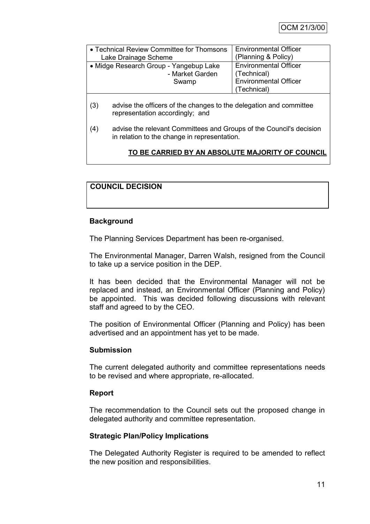| • Technical Review Committee for Thomsons | <b>Environmental Officer</b> |
|-------------------------------------------|------------------------------|
| Lake Drainage Scheme                      | (Planning & Policy)          |
| • Midge Research Group - Yangebup Lake    | <b>Environmental Officer</b> |
| - Market Garden                           | (Technical)                  |
| Swamp                                     | <b>Environmental Officer</b> |
|                                           | (Technical)                  |

- (3) advise the officers of the changes to the delegation and committee representation accordingly; and
- (4) advise the relevant Committees and Groups of the Council's decision in relation to the change in representation.

# **TO BE CARRIED BY AN ABSOLUTE MAJORITY OF COUNCIL**

# **COUNCIL DECISION**

#### **Background**

The Planning Services Department has been re-organised.

The Environmental Manager, Darren Walsh, resigned from the Council to take up a service position in the DEP.

It has been decided that the Environmental Manager will not be replaced and instead, an Environmental Officer (Planning and Policy) be appointed. This was decided following discussions with relevant staff and agreed to by the CEO.

The position of Environmental Officer (Planning and Policy) has been advertised and an appointment has yet to be made.

#### **Submission**

The current delegated authority and committee representations needs to be revised and where appropriate, re-allocated.

#### **Report**

The recommendation to the Council sets out the proposed change in delegated authority and committee representation.

#### **Strategic Plan/Policy Implications**

The Delegated Authority Register is required to be amended to reflect the new position and responsibilities.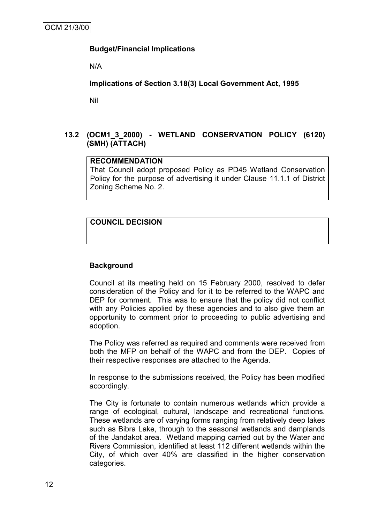# **Budget/Financial Implications**

N/A

**Implications of Section 3.18(3) Local Government Act, 1995**

Nil

# **13.2 (OCM1\_3\_2000) - WETLAND CONSERVATION POLICY (6120) (SMH) (ATTACH)**

#### **RECOMMENDATION**

That Council adopt proposed Policy as PD45 Wetland Conservation Policy for the purpose of advertising it under Clause 11.1.1 of District Zoning Scheme No. 2.

# **COUNCIL DECISION**

#### **Background**

Council at its meeting held on 15 February 2000, resolved to defer consideration of the Policy and for it to be referred to the WAPC and DEP for comment. This was to ensure that the policy did not conflict with any Policies applied by these agencies and to also give them an opportunity to comment prior to proceeding to public advertising and adoption.

The Policy was referred as required and comments were received from both the MFP on behalf of the WAPC and from the DEP. Copies of their respective responses are attached to the Agenda.

In response to the submissions received, the Policy has been modified accordingly.

The City is fortunate to contain numerous wetlands which provide a range of ecological, cultural, landscape and recreational functions. These wetlands are of varying forms ranging from relatively deep lakes such as Bibra Lake, through to the seasonal wetlands and damplands of the Jandakot area. Wetland mapping carried out by the Water and Rivers Commission, identified at least 112 different wetlands within the City, of which over 40% are classified in the higher conservation categories.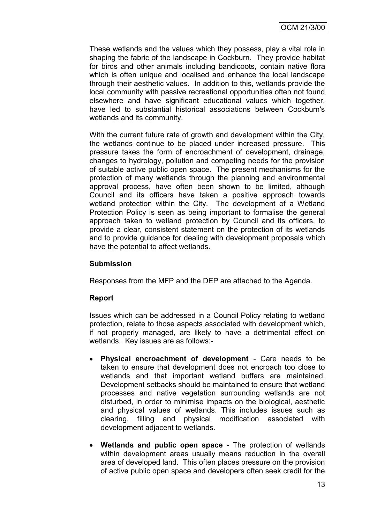These wetlands and the values which they possess, play a vital role in shaping the fabric of the landscape in Cockburn. They provide habitat for birds and other animals including bandicoots, contain native flora which is often unique and localised and enhance the local landscape through their aesthetic values. In addition to this, wetlands provide the local community with passive recreational opportunities often not found elsewhere and have significant educational values which together, have led to substantial historical associations between Cockburn's wetlands and its community.

With the current future rate of growth and development within the City, the wetlands continue to be placed under increased pressure. This pressure takes the form of encroachment of development, drainage, changes to hydrology, pollution and competing needs for the provision of suitable active public open space. The present mechanisms for the protection of many wetlands through the planning and environmental approval process, have often been shown to be limited, although Council and its officers have taken a positive approach towards wetland protection within the City. The development of a Wetland Protection Policy is seen as being important to formalise the general approach taken to wetland protection by Council and its officers, to provide a clear, consistent statement on the protection of its wetlands and to provide guidance for dealing with development proposals which have the potential to affect wetlands.

#### **Submission**

Responses from the MFP and the DEP are attached to the Agenda.

#### **Report**

Issues which can be addressed in a Council Policy relating to wetland protection, relate to those aspects associated with development which, if not properly managed, are likely to have a detrimental effect on wetlands. Key issues are as follows:-

- **Physical encroachment of development** Care needs to be taken to ensure that development does not encroach too close to wetlands and that important wetland buffers are maintained. Development setbacks should be maintained to ensure that wetland processes and native vegetation surrounding wetlands are not disturbed, in order to minimise impacts on the biological, aesthetic and physical values of wetlands. This includes issues such as clearing, filling and physical modification associated with development adjacent to wetlands.
- **Wetlands and public open space** The protection of wetlands within development areas usually means reduction in the overall area of developed land. This often places pressure on the provision of active public open space and developers often seek credit for the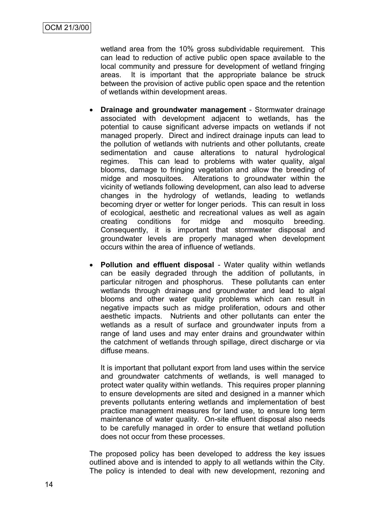wetland area from the 10% gross subdividable requirement. This can lead to reduction of active public open space available to the local community and pressure for development of wetland fringing areas. It is important that the appropriate balance be struck between the provision of active public open space and the retention of wetlands within development areas.

- **Drainage and groundwater management** Stormwater drainage associated with development adjacent to wetlands, has the potential to cause significant adverse impacts on wetlands if not managed properly. Direct and indirect drainage inputs can lead to the pollution of wetlands with nutrients and other pollutants, create sedimentation and cause alterations to natural hydrological regimes. This can lead to problems with water quality, algal blooms, damage to fringing vegetation and allow the breeding of midge and mosquitoes. Alterations to groundwater within the vicinity of wetlands following development, can also lead to adverse changes in the hydrology of wetlands, leading to wetlands becoming dryer or wetter for longer periods. This can result in loss of ecological, aesthetic and recreational values as well as again creating conditions for midge and mosquito breeding. Consequently, it is important that stormwater disposal and groundwater levels are properly managed when development occurs within the area of influence of wetlands.
- **Pollution and effluent disposal** Water quality within wetlands can be easily degraded through the addition of pollutants, in particular nitrogen and phosphorus. These pollutants can enter wetlands through drainage and groundwater and lead to algal blooms and other water quality problems which can result in negative impacts such as midge proliferation, odours and other aesthetic impacts. Nutrients and other pollutants can enter the wetlands as a result of surface and groundwater inputs from a range of land uses and may enter drains and groundwater within the catchment of wetlands through spillage, direct discharge or via diffuse means.

It is important that pollutant export from land uses within the service and groundwater catchments of wetlands, is well managed to protect water quality within wetlands. This requires proper planning to ensure developments are sited and designed in a manner which prevents pollutants entering wetlands and implementation of best practice management measures for land use, to ensure long term maintenance of water quality. On-site effluent disposal also needs to be carefully managed in order to ensure that wetland pollution does not occur from these processes.

The proposed policy has been developed to address the key issues outlined above and is intended to apply to all wetlands within the City. The policy is intended to deal with new development, rezoning and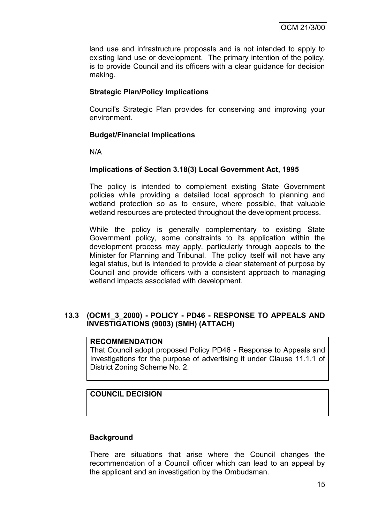land use and infrastructure proposals and is not intended to apply to existing land use or development. The primary intention of the policy, is to provide Council and its officers with a clear guidance for decision making.

# **Strategic Plan/Policy Implications**

Council's Strategic Plan provides for conserving and improving your environment.

# **Budget/Financial Implications**

N/A

# **Implications of Section 3.18(3) Local Government Act, 1995**

The policy is intended to complement existing State Government policies while providing a detailed local approach to planning and wetland protection so as to ensure, where possible, that valuable wetland resources are protected throughout the development process.

While the policy is generally complementary to existing State Government policy, some constraints to its application within the development process may apply, particularly through appeals to the Minister for Planning and Tribunal. The policy itself will not have any legal status, but is intended to provide a clear statement of purpose by Council and provide officers with a consistent approach to managing wetland impacts associated with development.

# **13.3 (OCM1\_3\_2000) - POLICY - PD46 - RESPONSE TO APPEALS AND INVESTIGATIONS (9003) (SMH) (ATTACH)**

### **RECOMMENDATION**

That Council adopt proposed Policy PD46 - Response to Appeals and Investigations for the purpose of advertising it under Clause 11.1.1 of District Zoning Scheme No. 2.

# **COUNCIL DECISION**

#### **Background**

There are situations that arise where the Council changes the recommendation of a Council officer which can lead to an appeal by the applicant and an investigation by the Ombudsman.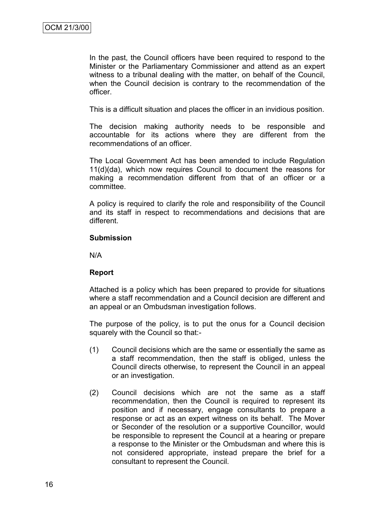In the past, the Council officers have been required to respond to the Minister or the Parliamentary Commissioner and attend as an expert witness to a tribunal dealing with the matter, on behalf of the Council, when the Council decision is contrary to the recommendation of the officer.

This is a difficult situation and places the officer in an invidious position.

The decision making authority needs to be responsible and accountable for its actions where they are different from the recommendations of an officer.

The Local Government Act has been amended to include Regulation 11(d)(da), which now requires Council to document the reasons for making a recommendation different from that of an officer or a committee.

A policy is required to clarify the role and responsibility of the Council and its staff in respect to recommendations and decisions that are different.

#### **Submission**

N/A

#### **Report**

Attached is a policy which has been prepared to provide for situations where a staff recommendation and a Council decision are different and an appeal or an Ombudsman investigation follows.

The purpose of the policy, is to put the onus for a Council decision squarely with the Council so that:-

- (1) Council decisions which are the same or essentially the same as a staff recommendation, then the staff is obliged, unless the Council directs otherwise, to represent the Council in an appeal or an investigation.
- (2) Council decisions which are not the same as a staff recommendation, then the Council is required to represent its position and if necessary, engage consultants to prepare a response or act as an expert witness on its behalf. The Mover or Seconder of the resolution or a supportive Councillor, would be responsible to represent the Council at a hearing or prepare a response to the Minister or the Ombudsman and where this is not considered appropriate, instead prepare the brief for a consultant to represent the Council.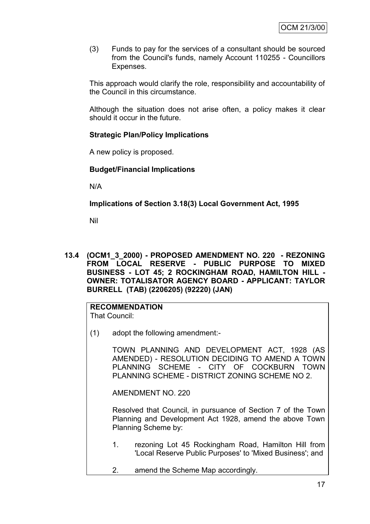(3) Funds to pay for the services of a consultant should be sourced from the Council's funds, namely Account 110255 - Councillors Expenses.

This approach would clarify the role, responsibility and accountability of the Council in this circumstance.

Although the situation does not arise often, a policy makes it clear should it occur in the future.

# **Strategic Plan/Policy Implications**

A new policy is proposed.

#### **Budget/Financial Implications**

N/A

**Implications of Section 3.18(3) Local Government Act, 1995**

Nil

**13.4 (OCM1\_3\_2000) - PROPOSED AMENDMENT NO. 220 - REZONING FROM LOCAL RESERVE - PUBLIC PURPOSE TO MIXED BUSINESS - LOT 45; 2 ROCKINGHAM ROAD, HAMILTON HILL - OWNER: TOTALISATOR AGENCY BOARD - APPLICANT: TAYLOR BURRELL (TAB) (2206205) (92220) (JAN)**

#### **RECOMMENDATION** That Council:

(1) adopt the following amendment:-

TOWN PLANNING AND DEVELOPMENT ACT, 1928 (AS AMENDED) - RESOLUTION DECIDING TO AMEND A TOWN PLANNING SCHEME - CITY OF COCKBURN TOWN PLANNING SCHEME - DISTRICT ZONING SCHEME NO 2.

AMENDMENT NO. 220

Resolved that Council, in pursuance of Section 7 of the Town Planning and Development Act 1928, amend the above Town Planning Scheme by:

- 1. rezoning Lot 45 Rockingham Road, Hamilton Hill from 'Local Reserve Public Purposes' to 'Mixed Business'; and
- 2. amend the Scheme Map accordingly.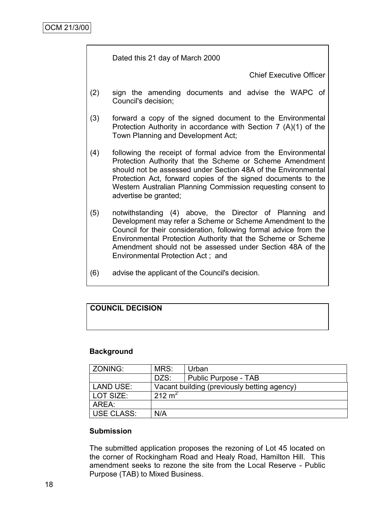Dated this 21 day of March 2000

Chief Executive Officer

- (2) sign the amending documents and advise the WAPC of Council's decision;
- (3) forward a copy of the signed document to the Environmental Protection Authority in accordance with Section 7 (A)(1) of the Town Planning and Development Act;
- (4) following the receipt of formal advice from the Environmental Protection Authority that the Scheme or Scheme Amendment should not be assessed under Section 48A of the Environmental Protection Act, forward copies of the signed documents to the Western Australian Planning Commission requesting consent to advertise be granted;
- (5) notwithstanding (4) above, the Director of Planning and Development may refer a Scheme or Scheme Amendment to the Council for their consideration, following formal advice from the Environmental Protection Authority that the Scheme or Scheme Amendment should not be assessed under Section 48A of the Environmental Protection Act ; and
- (6) advise the applicant of the Council's decision.

# **COUNCIL DECISION**

#### **Background**

| ZONING:     | MRS:               | Urban                                       |
|-------------|--------------------|---------------------------------------------|
|             | DZS:               | Public Purpose - TAB                        |
| LAND USE:   |                    | Vacant building (previously betting agency) |
| l LOT SIZE: | 212 m <sup>2</sup> |                                             |
| AREA:       |                    |                                             |
| USE CLASS:  | N/A                |                                             |

#### **Submission**

The submitted application proposes the rezoning of Lot 45 located on the corner of Rockingham Road and Healy Road, Hamilton Hill. This amendment seeks to rezone the site from the Local Reserve - Public Purpose (TAB) to Mixed Business.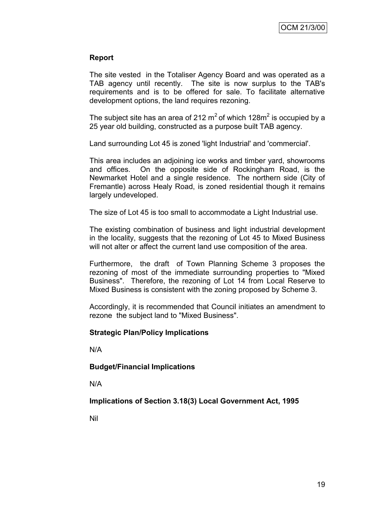# **Report**

The site vested in the Totaliser Agency Board and was operated as a TAB agency until recently. The site is now surplus to the TAB's requirements and is to be offered for sale. To facilitate alternative development options, the land requires rezoning.

The subject site has an area of 212  $m^2$  of which 128 $m^2$  is occupied by a 25 year old building, constructed as a purpose built TAB agency.

Land surrounding Lot 45 is zoned 'light Industrial' and 'commercial'.

This area includes an adjoining ice works and timber yard, showrooms and offices. On the opposite side of Rockingham Road, is the Newmarket Hotel and a single residence. The northern side (City of Fremantle) across Healy Road, is zoned residential though it remains largely undeveloped.

The size of Lot 45 is too small to accommodate a Light Industrial use.

The existing combination of business and light industrial development in the locality, suggests that the rezoning of Lot 45 to Mixed Business will not alter or affect the current land use composition of the area.

Furthermore, the draft of Town Planning Scheme 3 proposes the rezoning of most of the immediate surrounding properties to "Mixed Business". Therefore, the rezoning of Lot 14 from Local Reserve to Mixed Business is consistent with the zoning proposed by Scheme 3.

Accordingly, it is recommended that Council initiates an amendment to rezone the subject land to "Mixed Business".

#### **Strategic Plan/Policy Implications**

N/A

**Budget/Financial Implications**

N/A

**Implications of Section 3.18(3) Local Government Act, 1995**

Nil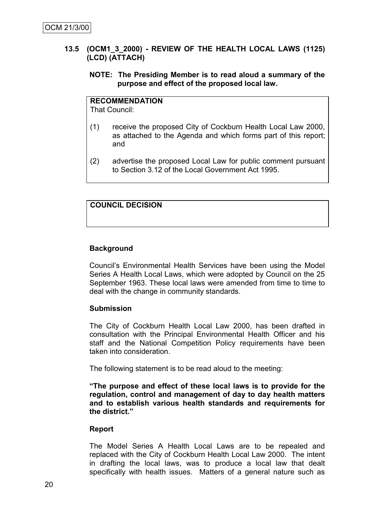#### **13.5 (OCM1\_3\_2000) - REVIEW OF THE HEALTH LOCAL LAWS (1125) (LCD) (ATTACH)**

#### **NOTE: The Presiding Member is to read aloud a summary of the purpose and effect of the proposed local law.**

# **RECOMMENDATION**

That Council:

- (1) receive the proposed City of Cockburn Health Local Law 2000, as attached to the Agenda and which forms part of this report; and
- (2) advertise the proposed Local Law for public comment pursuant to Section 3.12 of the Local Government Act 1995.

# **COUNCIL DECISION**

# **Background**

Council's Environmental Health Services have been using the Model Series A Health Local Laws, which were adopted by Council on the 25 September 1963. These local laws were amended from time to time to deal with the change in community standards.

#### **Submission**

The City of Cockburn Health Local Law 2000, has been drafted in consultation with the Principal Environmental Health Officer and his staff and the National Competition Policy requirements have been taken into consideration.

The following statement is to be read aloud to the meeting:

**"The purpose and effect of these local laws is to provide for the regulation, control and management of day to day health matters and to establish various health standards and requirements for the district."**

#### **Report**

The Model Series A Health Local Laws are to be repealed and replaced with the City of Cockburn Health Local Law 2000. The intent in drafting the local laws, was to produce a local law that dealt specifically with health issues. Matters of a general nature such as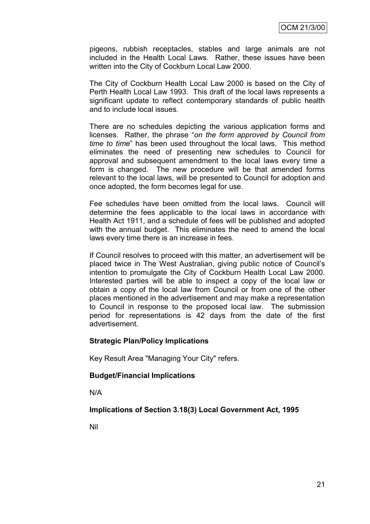pigeons, rubbish receptacles, stables and large animals are not included in the Health Local Laws. Rather, these issues have been written into the City of Cockburn Local Law 2000.

The City of Cockburn Health Local Law 2000 is based on the City of Perth Health Local Law 1993. This draft of the local laws represents a significant update to reflect contemporary standards of public health and to include local issues.

There are no schedules depicting the various application forms and licenses. Rather, the phrase "*on the form approved by Council from time to time*" has been used throughout the local laws. This method eliminates the need of presenting new schedules to Council for approval and subsequent amendment to the local laws every time a form is changed. The new procedure will be that amended forms relevant to the local laws, will be presented to Council for adoption and once adopted, the form becomes legal for use.

Fee schedules have been omitted from the local laws. Council will determine the fees applicable to the local laws in accordance with Health Act 1911, and a schedule of fees will be published and adopted with the annual budget. This eliminates the need to amend the local laws every time there is an increase in fees.

If Council resolves to proceed with this matter, an advertisement will be placed twice in The West Australian, giving public notice of Council's intention to promulgate the City of Cockburn Health Local Law 2000. Interested parties will be able to inspect a copy of the local law or obtain a copy of the local law from Council or from one of the other places mentioned in the advertisement and may make a representation to Council in response to the proposed local law. The submission period for representations is 42 days from the date of the first advertisement.

#### **Strategic Plan/Policy Implications**

Key Result Area "Managing Your City" refers.

#### **Budget/Financial Implications**

N/A

#### **Implications of Section 3.18(3) Local Government Act, 1995**

Nil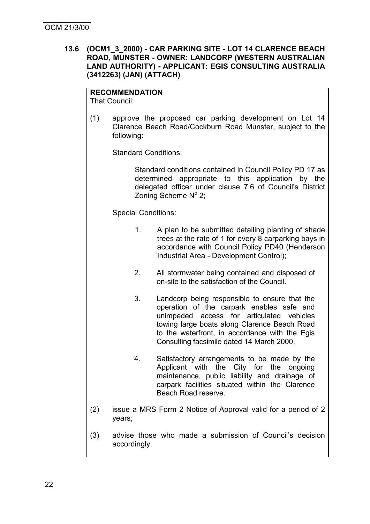#### **13.6 (OCM1\_3\_2000) - CAR PARKING SITE - LOT 14 CLARENCE BEACH ROAD, MUNSTER - OWNER: LANDCORP (WESTERN AUSTRALIAN LAND AUTHORITY) - APPLICANT: EGIS CONSULTING AUSTRALIA (3412263) (JAN) (ATTACH)**

# **RECOMMENDATION**

That Council:

(1) approve the proposed car parking development on Lot 14 Clarence Beach Road/Cockburn Road Munster, subject to the following:

Standard Conditions:

Standard conditions contained in Council Policy PD 17 as determined appropriate to this application by the delegated officer under clause 7.6 of Council's District Zoning Scheme Nº 2;

Special Conditions:

- 1. A plan to be submitted detailing planting of shade trees at the rate of 1 for every 8 carparking bays in accordance with Council Policy PD40 (Henderson Industrial Area - Development Control);
- 2. All stormwater being contained and disposed of on-site to the satisfaction of the Council.
- 3. Landcorp being responsible to ensure that the operation of the carpark enables safe and unimpeded access for articulated vehicles towing large boats along Clarence Beach Road to the waterfront, in accordance with the Egis Consulting facsimile dated 14 March 2000.
- 4. Satisfactory arrangements to be made by the Applicant with the City for the ongoing maintenance, public liability and drainage of carpark facilities situated within the Clarence Beach Road reserve.
- (2) issue a MRS Form 2 Notice of Approval valid for a period of 2 years;
- (3) advise those who made a submission of Council's decision accordingly.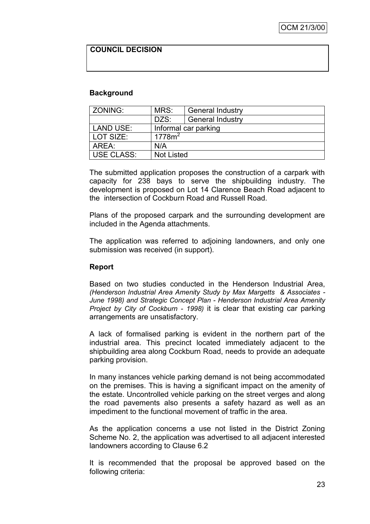# **COUNCIL DECISION**

#### **Background**

| ZONING:        | MRS:                 | <b>General Industry</b> |  |
|----------------|----------------------|-------------------------|--|
|                | DZS:                 | <b>General Industry</b> |  |
| LAND USE:      | Informal car parking |                         |  |
| LOT SIZE:      | 1778m <sup>2</sup>   |                         |  |
| l AREA:<br>N/A |                      |                         |  |
| USE CLASS:     | <b>Not Listed</b>    |                         |  |

The submitted application proposes the construction of a carpark with capacity for 238 bays to serve the shipbuilding industry. The development is proposed on Lot 14 Clarence Beach Road adjacent to the intersection of Cockburn Road and Russell Road.

Plans of the proposed carpark and the surrounding development are included in the Agenda attachments.

The application was referred to adjoining landowners, and only one submission was received (in support).

#### **Report**

Based on two studies conducted in the Henderson Industrial Area, *(Henderson Industrial Area Amenity Study by Max Margetts & Associates - June 1998) and Strategic Concept Plan - Henderson Industrial Area Amenity Project by City of Cockburn - 1998)* it is clear that existing car parking arrangements are unsatisfactory.

A lack of formalised parking is evident in the northern part of the industrial area. This precinct located immediately adjacent to the shipbuilding area along Cockburn Road, needs to provide an adequate parking provision.

In many instances vehicle parking demand is not being accommodated on the premises. This is having a significant impact on the amenity of the estate. Uncontrolled vehicle parking on the street verges and along the road pavements also presents a safety hazard as well as an impediment to the functional movement of traffic in the area.

As the application concerns a use not listed in the District Zoning Scheme No. 2, the application was advertised to all adjacent interested landowners according to Clause 6.2

It is recommended that the proposal be approved based on the following criteria: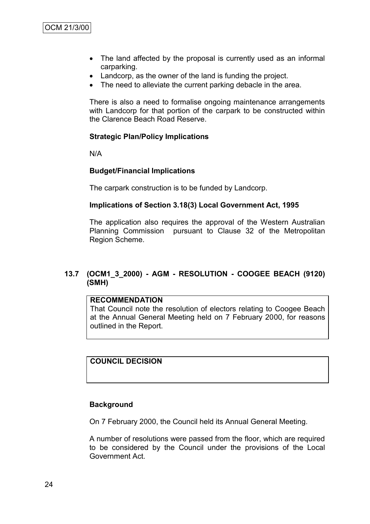- The land affected by the proposal is currently used as an informal carparking.
- Landcorp, as the owner of the land is funding the project.
- The need to alleviate the current parking debacle in the area.

There is also a need to formalise ongoing maintenance arrangements with Landcorp for that portion of the carpark to be constructed within the Clarence Beach Road Reserve.

# **Strategic Plan/Policy Implications**

N/A

#### **Budget/Financial Implications**

The carpark construction is to be funded by Landcorp.

#### **Implications of Section 3.18(3) Local Government Act, 1995**

The application also requires the approval of the Western Australian Planning Commission pursuant to Clause 32 of the Metropolitan Region Scheme.

# **13.7 (OCM1\_3\_2000) - AGM - RESOLUTION - COOGEE BEACH (9120) (SMH)**

#### **RECOMMENDATION**

That Council note the resolution of electors relating to Coogee Beach at the Annual General Meeting held on 7 February 2000, for reasons outlined in the Report.

# **COUNCIL DECISION**

#### **Background**

On 7 February 2000, the Council held its Annual General Meeting.

A number of resolutions were passed from the floor, which are required to be considered by the Council under the provisions of the Local Government Act.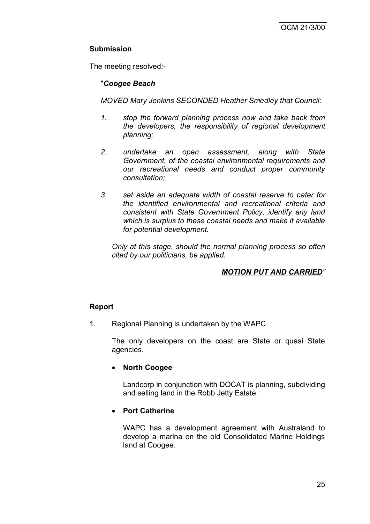# **Submission**

The meeting resolved:-

# "*Coogee Beach*

*MOVED Mary Jenkins SECONDED Heather Smedley that Council:*

- *1. stop the forward planning process now and take back from the developers, the responsibility of regional development planning;*
- *2. undertake an open assessment, along with State Government, of the coastal environmental requirements and our recreational needs and conduct proper community consultation;*
- *3. set aside an adequate width of coastal reserve to cater for the identified environmental and recreational criteria and consistent with State Government Policy, identify any land which is surplus to these coastal needs and make it available for potential development.*

*Only at this stage, should the normal planning process so often cited by our politicians, be applied.*

# *MOTION PUT AND CARRIED"*

# **Report**

1. Regional Planning is undertaken by the WAPC.

The only developers on the coast are State or quasi State agencies.

# **North Coogee**

Landcorp in conjunction with DOCAT is planning, subdividing and selling land in the Robb Jetty Estate.

# **Port Catherine**

WAPC has a development agreement with Australand to develop a marina on the old Consolidated Marine Holdings land at Coogee.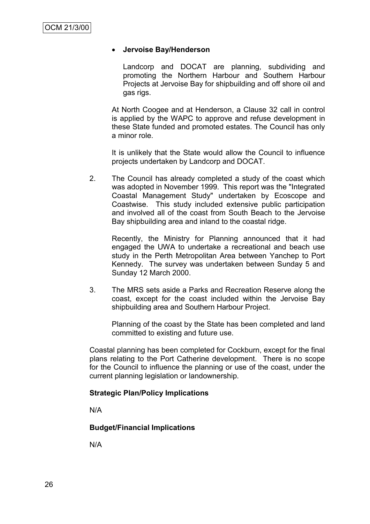#### **Jervoise Bay/Henderson**

Landcorp and DOCAT are planning, subdividing and promoting the Northern Harbour and Southern Harbour Projects at Jervoise Bay for shipbuilding and off shore oil and gas rigs.

At North Coogee and at Henderson, a Clause 32 call in control is applied by the WAPC to approve and refuse development in these State funded and promoted estates. The Council has only a minor role.

It is unlikely that the State would allow the Council to influence projects undertaken by Landcorp and DOCAT.

2. The Council has already completed a study of the coast which was adopted in November 1999. This report was the "Integrated Coastal Management Study" undertaken by Ecoscope and Coastwise. This study included extensive public participation and involved all of the coast from South Beach to the Jervoise Bay shipbuilding area and inland to the coastal ridge.

Recently, the Ministry for Planning announced that it had engaged the UWA to undertake a recreational and beach use study in the Perth Metropolitan Area between Yanchep to Port Kennedy. The survey was undertaken between Sunday 5 and Sunday 12 March 2000.

3. The MRS sets aside a Parks and Recreation Reserve along the coast, except for the coast included within the Jervoise Bay shipbuilding area and Southern Harbour Project.

Planning of the coast by the State has been completed and land committed to existing and future use.

Coastal planning has been completed for Cockburn, except for the final plans relating to the Port Catherine development. There is no scope for the Council to influence the planning or use of the coast, under the current planning legislation or landownership.

#### **Strategic Plan/Policy Implications**

N/A

#### **Budget/Financial Implications**

N/A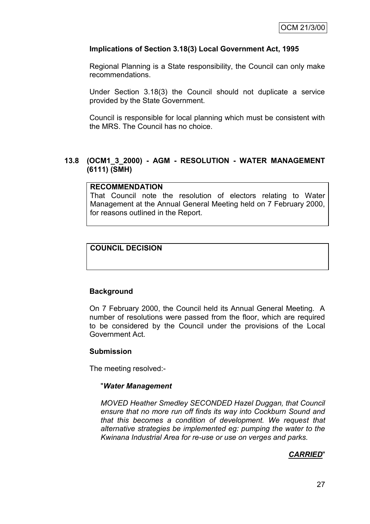#### **Implications of Section 3.18(3) Local Government Act, 1995**

Regional Planning is a State responsibility, the Council can only make recommendations.

Under Section 3.18(3) the Council should not duplicate a service provided by the State Government.

Council is responsible for local planning which must be consistent with the MRS. The Council has no choice.

### **13.8 (OCM1\_3\_2000) - AGM - RESOLUTION - WATER MANAGEMENT (6111) (SMH)**

#### **RECOMMENDATION**

That Council note the resolution of electors relating to Water Management at the Annual General Meeting held on 7 February 2000, for reasons outlined in the Report.

# **COUNCIL DECISION**

#### **Background**

On 7 February 2000, the Council held its Annual General Meeting. A number of resolutions were passed from the floor, which are required to be considered by the Council under the provisions of the Local Government Act.

#### **Submission**

The meeting resolved:-

#### "*Water Management*

*MOVED Heather Smedley SECONDED Hazel Duggan, that Council ensure that no more run off finds its way into Cockburn Sound and that this becomes a condition of development. We request that alternative strategies be implemented eg: pumping the water to the Kwinana Industrial Area for re-use or use on verges and parks.*

#### *CARRIED*"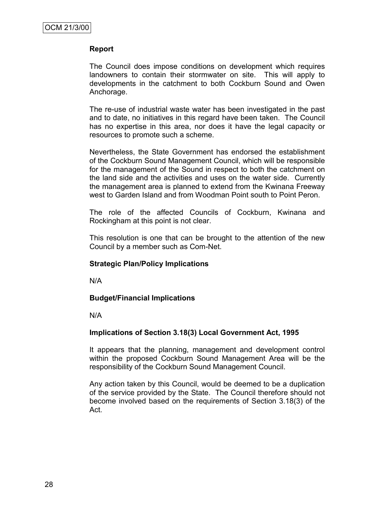#### **Report**

The Council does impose conditions on development which requires landowners to contain their stormwater on site. This will apply to developments in the catchment to both Cockburn Sound and Owen Anchorage.

The re-use of industrial waste water has been investigated in the past and to date, no initiatives in this regard have been taken. The Council has no expertise in this area, nor does it have the legal capacity or resources to promote such a scheme.

Nevertheless, the State Government has endorsed the establishment of the Cockburn Sound Management Council, which will be responsible for the management of the Sound in respect to both the catchment on the land side and the activities and uses on the water side. Currently the management area is planned to extend from the Kwinana Freeway west to Garden Island and from Woodman Point south to Point Peron.

The role of the affected Councils of Cockburn, Kwinana and Rockingham at this point is not clear.

This resolution is one that can be brought to the attention of the new Council by a member such as Com-Net.

#### **Strategic Plan/Policy Implications**

N/A

#### **Budget/Financial Implications**

N/A

#### **Implications of Section 3.18(3) Local Government Act, 1995**

It appears that the planning, management and development control within the proposed Cockburn Sound Management Area will be the responsibility of the Cockburn Sound Management Council.

Any action taken by this Council, would be deemed to be a duplication of the service provided by the State. The Council therefore should not become involved based on the requirements of Section 3.18(3) of the Act.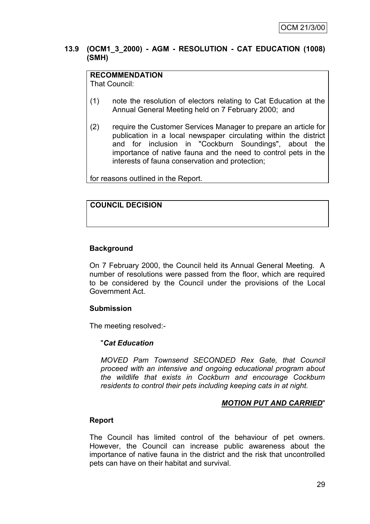#### **13.9 (OCM1\_3\_2000) - AGM - RESOLUTION - CAT EDUCATION (1008) (SMH)**

# **RECOMMENDATION**

That Council:

- (1) note the resolution of electors relating to Cat Education at the Annual General Meeting held on 7 February 2000; and
- (2) require the Customer Services Manager to prepare an article for publication in a local newspaper circulating within the district and for inclusion in "Cockburn Soundings", about the importance of native fauna and the need to control pets in the interests of fauna conservation and protection;

for reasons outlined in the Report.

# **COUNCIL DECISION**

# **Background**

On 7 February 2000, the Council held its Annual General Meeting. A number of resolutions were passed from the floor, which are required to be considered by the Council under the provisions of the Local Government Act.

#### **Submission**

The meeting resolved:-

#### "*Cat Education*

*MOVED Pam Townsend SECONDED Rex Gate, that Council proceed with an intensive and ongoing educational program about the wildlife that exists in Cockburn and encourage Cockburn residents to control their pets including keeping cats in at night.*

#### *MOTION PUT AND CARRIED*"

#### **Report**

The Council has limited control of the behaviour of pet owners. However, the Council can increase public awareness about the importance of native fauna in the district and the risk that uncontrolled pets can have on their habitat and survival.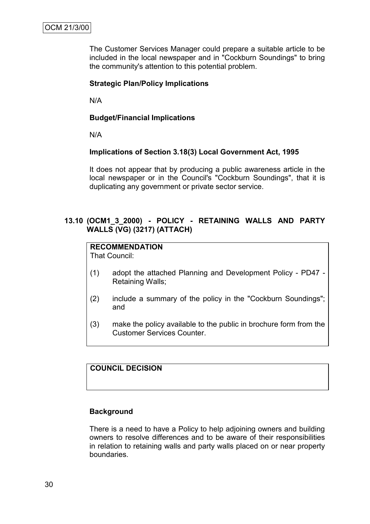The Customer Services Manager could prepare a suitable article to be included in the local newspaper and in "Cockburn Soundings" to bring the community's attention to this potential problem.

#### **Strategic Plan/Policy Implications**

N/A

#### **Budget/Financial Implications**

N/A

#### **Implications of Section 3.18(3) Local Government Act, 1995**

It does not appear that by producing a public awareness article in the local newspaper or in the Council's "Cockburn Soundings", that it is duplicating any government or private sector service.

### **13.10 (OCM1\_3\_2000) - POLICY - RETAINING WALLS AND PARTY WALLS (VG) (3217) (ATTACH)**

# **RECOMMENDATION**

That Council:

- (1) adopt the attached Planning and Development Policy PD47 Retaining Walls;
- (2) include a summary of the policy in the "Cockburn Soundings"; and
- (3) make the policy available to the public in brochure form from the Customer Services Counter.

# **COUNCIL DECISION**

#### **Background**

There is a need to have a Policy to help adjoining owners and building owners to resolve differences and to be aware of their responsibilities in relation to retaining walls and party walls placed on or near property boundaries.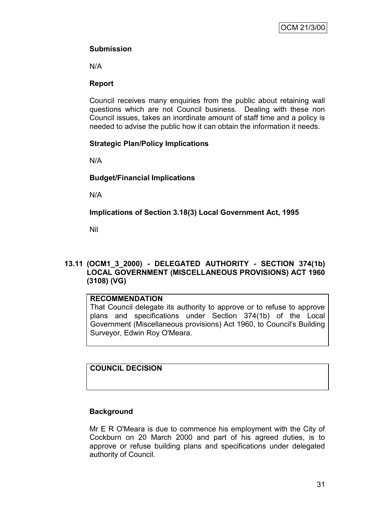# **Submission**

N/A

# **Report**

Council receives many enquiries from the public about retaining wall questions which are not Council business. Dealing with these non Council issues, takes an inordinate amount of staff time and a policy is needed to advise the public how it can obtain the information it needs.

# **Strategic Plan/Policy Implications**

N/A

# **Budget/Financial Implications**

N/A

**Implications of Section 3.18(3) Local Government Act, 1995**

Nil

# **13.11 (OCM1\_3\_2000) - DELEGATED AUTHORITY - SECTION 374(1b) LOCAL GOVERNMENT (MISCELLANEOUS PROVISIONS) ACT 1960 (3108) (VG)**

# **RECOMMENDATION**

That Council delegate its authority to approve or to refuse to approve plans and specifications under Section 374(1b) of the Local Government (Miscellaneous provisions) Act 1960, to Council's Building Surveyor, Edwin Roy O'Meara.

**COUNCIL DECISION**

# **Background**

Mr E R O'Meara is due to commence his employment with the City of Cockburn on 20 March 2000 and part of his agreed duties, is to approve or refuse building plans and specifications under delegated authority of Council.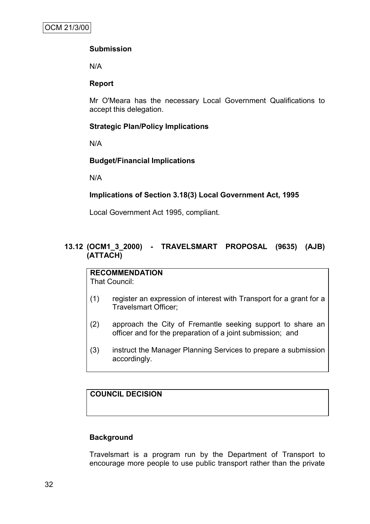# **Submission**

N/A

# **Report**

Mr O'Meara has the necessary Local Government Qualifications to accept this delegation.

# **Strategic Plan/Policy Implications**

N/A

# **Budget/Financial Implications**

N/A

# **Implications of Section 3.18(3) Local Government Act, 1995**

Local Government Act 1995, compliant.

# **13.12 (OCM1\_3\_2000) - TRAVELSMART PROPOSAL (9635) (AJB) (ATTACH)**

#### **RECOMMENDATION** That Council:

- (1) register an expression of interest with Transport for a grant for a Travelsmart Officer;
- (2) approach the City of Fremantle seeking support to share an officer and for the preparation of a joint submission; and
- (3) instruct the Manager Planning Services to prepare a submission accordingly.

# **COUNCIL DECISION**

# **Background**

Travelsmart is a program run by the Department of Transport to encourage more people to use public transport rather than the private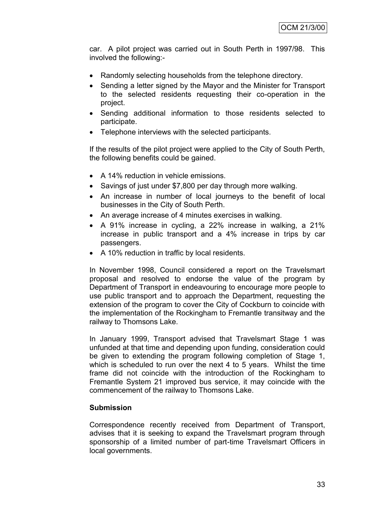car. A pilot project was carried out in South Perth in 1997/98. This involved the following:-

- Randomly selecting households from the telephone directory.
- Sending a letter signed by the Mayor and the Minister for Transport to the selected residents requesting their co-operation in the project.
- Sending additional information to those residents selected to participate.
- Telephone interviews with the selected participants.

If the results of the pilot project were applied to the City of South Perth, the following benefits could be gained.

- A 14% reduction in vehicle emissions.
- Savings of just under \$7,800 per day through more walking.
- An increase in number of local journeys to the benefit of local businesses in the City of South Perth.
- An average increase of 4 minutes exercises in walking.
- A 91% increase in cycling, a 22% increase in walking, a 21% increase in public transport and a 4% increase in trips by car passengers.
- A 10% reduction in traffic by local residents.

In November 1998, Council considered a report on the Travelsmart proposal and resolved to endorse the value of the program by Department of Transport in endeavouring to encourage more people to use public transport and to approach the Department, requesting the extension of the program to cover the City of Cockburn to coincide with the implementation of the Rockingham to Fremantle transitway and the railway to Thomsons Lake.

In January 1999, Transport advised that Travelsmart Stage 1 was unfunded at that time and depending upon funding, consideration could be given to extending the program following completion of Stage 1, which is scheduled to run over the next 4 to 5 years. Whilst the time frame did not coincide with the introduction of the Rockingham to Fremantle System 21 improved bus service, it may coincide with the commencement of the railway to Thomsons Lake.

# **Submission**

Correspondence recently received from Department of Transport, advises that it is seeking to expand the Travelsmart program through sponsorship of a limited number of part-time Travelsmart Officers in local governments.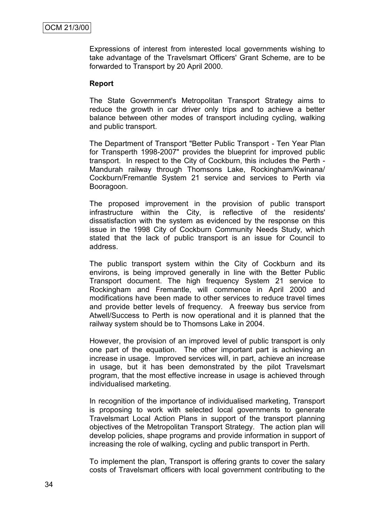Expressions of interest from interested local governments wishing to take advantage of the Travelsmart Officers' Grant Scheme, are to be forwarded to Transport by 20 April 2000.

#### **Report**

The State Government's Metropolitan Transport Strategy aims to reduce the growth in car driver only trips and to achieve a better balance between other modes of transport including cycling, walking and public transport.

The Department of Transport "Better Public Transport - Ten Year Plan for Transperth 1998-2007" provides the blueprint for improved public transport. In respect to the City of Cockburn, this includes the Perth - Mandurah railway through Thomsons Lake, Rockingham/Kwinana/ Cockburn/Fremantle System 21 service and services to Perth via Booragoon.

The proposed improvement in the provision of public transport infrastructure within the City, is reflective of the residents' dissatisfaction with the system as evidenced by the response on this issue in the 1998 City of Cockburn Community Needs Study, which stated that the lack of public transport is an issue for Council to address.

The public transport system within the City of Cockburn and its environs, is being improved generally in line with the Better Public Transport document. The high frequency System 21 service to Rockingham and Fremantle, will commence in April 2000 and modifications have been made to other services to reduce travel times and provide better levels of frequency. A freeway bus service from Atwell/Success to Perth is now operational and it is planned that the railway system should be to Thomsons Lake in 2004.

However, the provision of an improved level of public transport is only one part of the equation. The other important part is achieving an increase in usage. Improved services will, in part, achieve an increase in usage, but it has been demonstrated by the pilot Travelsmart program, that the most effective increase in usage is achieved through individualised marketing.

In recognition of the importance of individualised marketing, Transport is proposing to work with selected local governments to generate Travelsmart Local Action Plans in support of the transport planning objectives of the Metropolitan Transport Strategy. The action plan will develop policies, shape programs and provide information in support of increasing the role of walking, cycling and public transport in Perth.

To implement the plan, Transport is offering grants to cover the salary costs of Travelsmart officers with local government contributing to the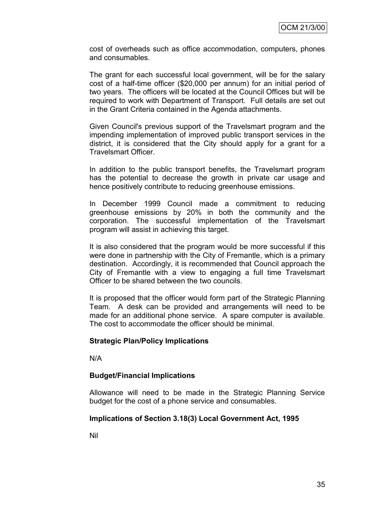cost of overheads such as office accommodation, computers, phones and consumables.

The grant for each successful local government, will be for the salary cost of a half-time officer (\$20,000 per annum) for an initial period of two years. The officers will be located at the Council Offices but will be required to work with Department of Transport. Full details are set out in the Grant Criteria contained in the Agenda attachments.

Given Council's previous support of the Travelsmart program and the impending implementation of improved public transport services in the district, it is considered that the City should apply for a grant for a Travelsmart Officer.

In addition to the public transport benefits, the Travelsmart program has the potential to decrease the growth in private car usage and hence positively contribute to reducing greenhouse emissions.

In December 1999 Council made a commitment to reducing greenhouse emissions by 20% in both the community and the corporation. The successful implementation of the Travelsmart program will assist in achieving this target.

It is also considered that the program would be more successful if this were done in partnership with the City of Fremantle, which is a primary destination. Accordingly, it is recommended that Council approach the City of Fremantle with a view to engaging a full time Travelsmart Officer to be shared between the two councils.

It is proposed that the officer would form part of the Strategic Planning Team. A desk can be provided and arrangements will need to be made for an additional phone service. A spare computer is available. The cost to accommodate the officer should be minimal.

# **Strategic Plan/Policy Implications**

N/A

# **Budget/Financial Implications**

Allowance will need to be made in the Strategic Planning Service budget for the cost of a phone service and consumables.

# **Implications of Section 3.18(3) Local Government Act, 1995**

Nil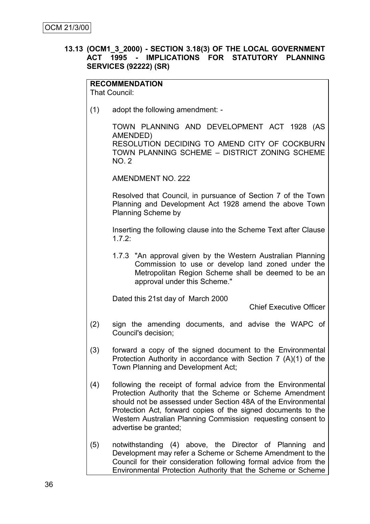# **13.13 (OCM1\_3\_2000) - SECTION 3.18(3) OF THE LOCAL GOVERNMENT ACT 1995 - IMPLICATIONS FOR STATUTORY PLANNING SERVICES (92222) (SR)**

**RECOMMENDATION**

That Council:

(1) adopt the following amendment: -

TOWN PLANNING AND DEVELOPMENT ACT 1928 (AS AMENDED) RESOLUTION DECIDING TO AMEND CITY OF COCKBURN TOWN PLANNING SCHEME – DISTRICT ZONING SCHEME NO. 2

AMENDMENT NO. 222

Resolved that Council, in pursuance of Section 7 of the Town Planning and Development Act 1928 amend the above Town Planning Scheme by

Inserting the following clause into the Scheme Text after Clause 1.7.2:

1.7.3 "An approval given by the Western Australian Planning Commission to use or develop land zoned under the Metropolitan Region Scheme shall be deemed to be an approval under this Scheme."

Dated this 21st day of March 2000

Chief Executive Officer

- (2) sign the amending documents, and advise the WAPC of Council's decision;
- (3) forward a copy of the signed document to the Environmental Protection Authority in accordance with Section 7 (A)(1) of the Town Planning and Development Act;
- (4) following the receipt of formal advice from the Environmental Protection Authority that the Scheme or Scheme Amendment should not be assessed under Section 48A of the Environmental Protection Act, forward copies of the signed documents to the Western Australian Planning Commission requesting consent to advertise be granted;
- (5) notwithstanding (4) above, the Director of Planning and Development may refer a Scheme or Scheme Amendment to the Council for their consideration following formal advice from the Environmental Protection Authority that the Scheme or Scheme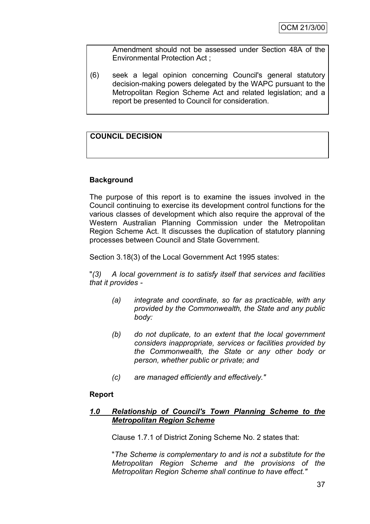Amendment should not be assessed under Section 48A of the Environmental Protection Act ;

(6) seek a legal opinion concerning Council's general statutory decision-making powers delegated by the WAPC pursuant to the Metropolitan Region Scheme Act and related legislation; and a report be presented to Council for consideration.

# **COUNCIL DECISION**

# **Background**

The purpose of this report is to examine the issues involved in the Council continuing to exercise its development control functions for the various classes of development which also require the approval of the Western Australian Planning Commission under the Metropolitan Region Scheme Act. It discusses the duplication of statutory planning processes between Council and State Government.

Section 3.18(3) of the Local Government Act 1995 states:

"*(3) A local government is to satisfy itself that services and facilities that it provides -*

- *(a) integrate and coordinate, so far as practicable, with any provided by the Commonwealth, the State and any public body:*
- *(b) do not duplicate, to an extent that the local government considers inappropriate, services or facilities provided by the Commonwealth, the State or any other body or person, whether public or private; and*
- *(c) are managed efficiently and effectively."*

# **Report**

# *1.0 Relationship of Council's Town Planning Scheme to the Metropolitan Region Scheme*

Clause 1.7.1 of District Zoning Scheme No. 2 states that:

"*The Scheme is complementary to and is not a substitute for the Metropolitan Region Scheme and the provisions of the Metropolitan Region Scheme shall continue to have effect."*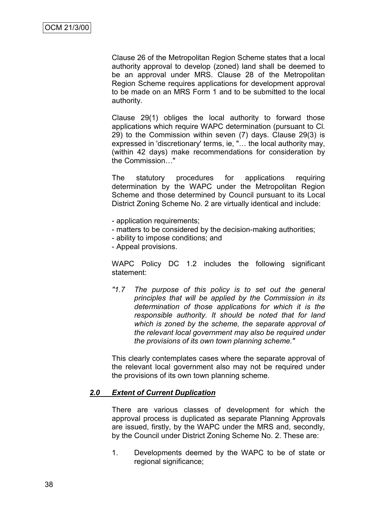Clause 26 of the Metropolitan Region Scheme states that a local authority approval to develop (zoned) land shall be deemed to be an approval under MRS. Clause 28 of the Metropolitan Region Scheme requires applications for development approval to be made on an MRS Form 1 and to be submitted to the local authority.

Clause 29(1) obliges the local authority to forward those applications which require WAPC determination (pursuant to Cl. 29) to the Commission within seven (7) days. Clause 29(3) is expressed in 'discretionary' terms, ie, "… the local authority may, (within 42 days) make recommendations for consideration by the Commission…"

The statutory procedures for applications requiring determination by the WAPC under the Metropolitan Region Scheme and those determined by Council pursuant to its Local District Zoning Scheme No. 2 are virtually identical and include:

- application requirements;
- matters to be considered by the decision-making authorities;
- ability to impose conditions; and
- Appeal provisions.

WAPC Policy DC 1.2 includes the following significant statement:

*"1.7 The purpose of this policy is to set out the general principles that will be applied by the Commission in its determination of those applications for which it is the responsible authority. It should be noted that for land which is zoned by the scheme, the separate approval of the relevant local government may also be required under the provisions of its own town planning scheme."*

This clearly contemplates cases where the separate approval of the relevant local government also may not be required under the provisions of its own town planning scheme.

#### *2.0 Extent of Current Duplication*

There are various classes of development for which the approval process is duplicated as separate Planning Approvals are issued, firstly, by the WAPC under the MRS and, secondly, by the Council under District Zoning Scheme No. 2. These are:

1. Developments deemed by the WAPC to be of state or regional significance;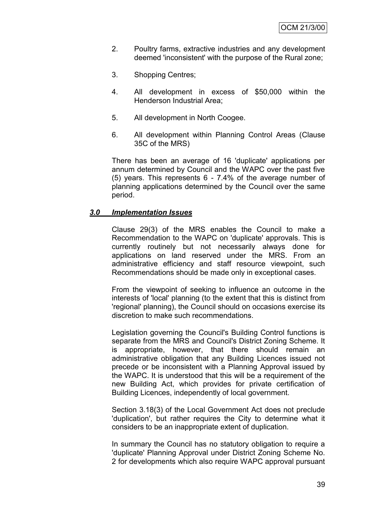- 2. Poultry farms, extractive industries and any development deemed 'inconsistent' with the purpose of the Rural zone;
- 3. Shopping Centres;
- 4. All development in excess of \$50,000 within the Henderson Industrial Area;
- 5. All development in North Coogee.
- 6. All development within Planning Control Areas (Clause 35C of the MRS)

There has been an average of 16 'duplicate' applications per annum determined by Council and the WAPC over the past five (5) years. This represents 6 - 7.4% of the average number of planning applications determined by the Council over the same period.

#### *3.0 Implementation Issues*

Clause 29(3) of the MRS enables the Council to make a Recommendation to the WAPC on 'duplicate' approvals. This is currently routinely but not necessarily always done for applications on land reserved under the MRS. From an administrative efficiency and staff resource viewpoint, such Recommendations should be made only in exceptional cases.

From the viewpoint of seeking to influence an outcome in the interests of 'local' planning (to the extent that this is distinct from 'regional' planning), the Council should on occasions exercise its discretion to make such recommendations.

Legislation governing the Council's Building Control functions is separate from the MRS and Council's District Zoning Scheme. It is appropriate, however, that there should remain an administrative obligation that any Building Licences issued not precede or be inconsistent with a Planning Approval issued by the WAPC. It is understood that this will be a requirement of the new Building Act, which provides for private certification of Building Licences, independently of local government.

Section 3.18(3) of the Local Government Act does not preclude 'duplication', but rather requires the City to determine what it considers to be an inappropriate extent of duplication.

In summary the Council has no statutory obligation to require a 'duplicate' Planning Approval under District Zoning Scheme No. 2 for developments which also require WAPC approval pursuant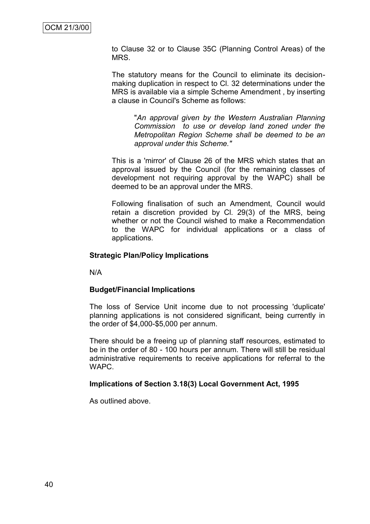to Clause 32 or to Clause 35C (Planning Control Areas) of the MRS.

The statutory means for the Council to eliminate its decisionmaking duplication in respect to Cl. 32 determinations under the MRS is available via a simple Scheme Amendment , by inserting a clause in Council's Scheme as follows:

> "*An approval given by the Western Australian Planning Commission to use or develop land zoned under the Metropolitan Region Scheme shall be deemed to be an approval under this Scheme."*

This is a 'mirror' of Clause 26 of the MRS which states that an approval issued by the Council (for the remaining classes of development not requiring approval by the WAPC) shall be deemed to be an approval under the MRS.

Following finalisation of such an Amendment, Council would retain a discretion provided by Cl. 29(3) of the MRS, being whether or not the Council wished to make a Recommendation to the WAPC for individual applications or a class of applications.

# **Strategic Plan/Policy Implications**

N/A

# **Budget/Financial Implications**

The loss of Service Unit income due to not processing 'duplicate' planning applications is not considered significant, being currently in the order of \$4,000-\$5,000 per annum.

There should be a freeing up of planning staff resources, estimated to be in the order of 80 - 100 hours per annum. There will still be residual administrative requirements to receive applications for referral to the **WAPC.** 

# **Implications of Section 3.18(3) Local Government Act, 1995**

As outlined above.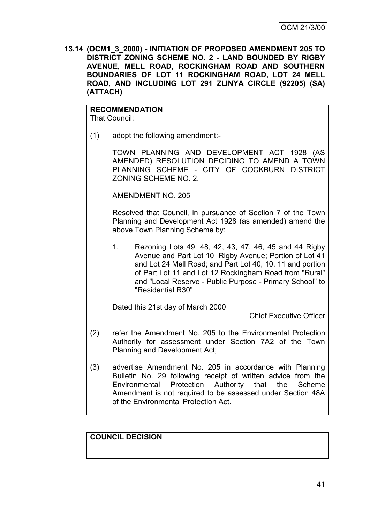**13.14 (OCM1\_3\_2000) - INITIATION OF PROPOSED AMENDMENT 205 TO DISTRICT ZONING SCHEME NO. 2 - LAND BOUNDED BY RIGBY AVENUE, MELL ROAD, ROCKINGHAM ROAD AND SOUTHERN BOUNDARIES OF LOT 11 ROCKINGHAM ROAD, LOT 24 MELL ROAD, AND INCLUDING LOT 291 ZLINYA CIRCLE (92205) (SA) (ATTACH)**

#### **RECOMMENDATION** That Council:

(1) adopt the following amendment:-

TOWN PLANNING AND DEVELOPMENT ACT 1928 (AS AMENDED) RESOLUTION DECIDING TO AMEND A TOWN PLANNING SCHEME - CITY OF COCKBURN DISTRICT ZONING SCHEME NO. 2.

AMENDMENT NO. 205

Resolved that Council, in pursuance of Section 7 of the Town Planning and Development Act 1928 (as amended) amend the above Town Planning Scheme by:

1. Rezoning Lots 49, 48, 42, 43, 47, 46, 45 and 44 Rigby Avenue and Part Lot 10 Rigby Avenue; Portion of Lot 41 and Lot 24 Mell Road; and Part Lot 40, 10, 11 and portion of Part Lot 11 and Lot 12 Rockingham Road from "Rural" and "Local Reserve - Public Purpose - Primary School" to "Residential R30"

Dated this 21st day of March 2000

Chief Executive Officer

- (2) refer the Amendment No. 205 to the Environmental Protection Authority for assessment under Section 7A2 of the Town Planning and Development Act;
- (3) advertise Amendment No. 205 in accordance with Planning Bulletin No. 29 following receipt of written advice from the Environmental Protection Authority that the Scheme Amendment is not required to be assessed under Section 48A of the Environmental Protection Act.

# **COUNCIL DECISION**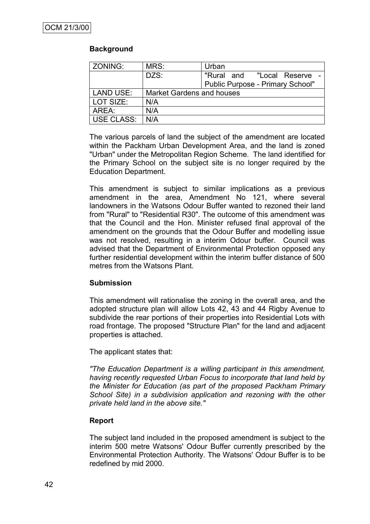# **Background**

| ZONING:    | MRS:                             | Urban                            |
|------------|----------------------------------|----------------------------------|
|            | DZS:                             | "Rural and<br>"Local Reserve     |
|            |                                  | Public Purpose - Primary School" |
| LAND USE:  | <b>Market Gardens and houses</b> |                                  |
| LOT SIZE:  | N/A                              |                                  |
| AREA:      | N/A                              |                                  |
| USE CLASS: | N/A                              |                                  |

The various parcels of land the subject of the amendment are located within the Packham Urban Development Area, and the land is zoned "Urban" under the Metropolitan Region Scheme. The land identified for the Primary School on the subject site is no longer required by the Education Department.

This amendment is subject to similar implications as a previous amendment in the area, Amendment No 121, where several landowners in the Watsons Odour Buffer wanted to rezoned their land from "Rural" to "Residential R30". The outcome of this amendment was that the Council and the Hon. Minister refused final approval of the amendment on the grounds that the Odour Buffer and modelling issue was not resolved, resulting in a interim Odour buffer. Council was advised that the Department of Environmental Protection opposed any further residential development within the interim buffer distance of 500 metres from the Watsons Plant.

# **Submission**

This amendment will rationalise the zoning in the overall area, and the adopted structure plan will allow Lots 42, 43 and 44 Rigby Avenue to subdivide the rear portions of their properties into Residential Lots with road frontage. The proposed "Structure Plan" for the land and adjacent properties is attached.

The applicant states that:

*"The Education Department is a willing participant in this amendment, having recently requested Urban Focus to incorporate that land held by the Minister for Education (as part of the proposed Packham Primary School Site) in a subdivision application and rezoning with the other private held land in the above site."*

# **Report**

The subject land included in the proposed amendment is subject to the interim 500 metre Watsons' Odour Buffer currently prescribed by the Environmental Protection Authority. The Watsons' Odour Buffer is to be redefined by mid 2000.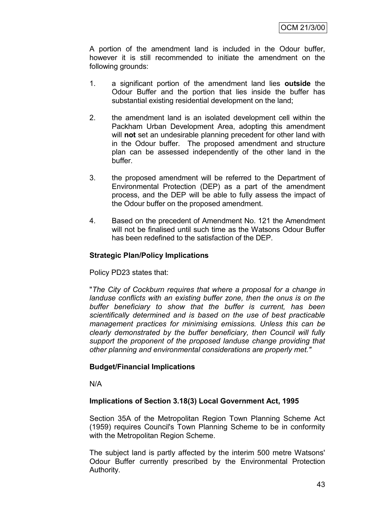A portion of the amendment land is included in the Odour buffer, however it is still recommended to initiate the amendment on the following grounds:

- 1. a significant portion of the amendment land lies **outside** the Odour Buffer and the portion that lies inside the buffer has substantial existing residential development on the land;
- 2. the amendment land is an isolated development cell within the Packham Urban Development Area, adopting this amendment will **not** set an undesirable planning precedent for other land with in the Odour buffer. The proposed amendment and structure plan can be assessed independently of the other land in the buffer.
- 3. the proposed amendment will be referred to the Department of Environmental Protection (DEP) as a part of the amendment process, and the DEP will be able to fully assess the impact of the Odour buffer on the proposed amendment.
- 4. Based on the precedent of Amendment No. 121 the Amendment will not be finalised until such time as the Watsons Odour Buffer has been redefined to the satisfaction of the DEP.

# **Strategic Plan/Policy Implications**

Policy PD23 states that:

"*The City of Cockburn requires that where a proposal for a change in landuse conflicts with an existing buffer zone, then the onus is on the buffer beneficiary to show that the buffer is current, has been scientifically determined and is based on the use of best practicable management practices for minimising emissions. Unless this can be clearly demonstrated by the buffer beneficiary, then Council will fully support the proponent of the proposed landuse change providing that other planning and environmental considerations are properly met."*

# **Budget/Financial Implications**

N/A

# **Implications of Section 3.18(3) Local Government Act, 1995**

Section 35A of the Metropolitan Region Town Planning Scheme Act (1959) requires Council's Town Planning Scheme to be in conformity with the Metropolitan Region Scheme.

The subject land is partly affected by the interim 500 metre Watsons' Odour Buffer currently prescribed by the Environmental Protection Authority.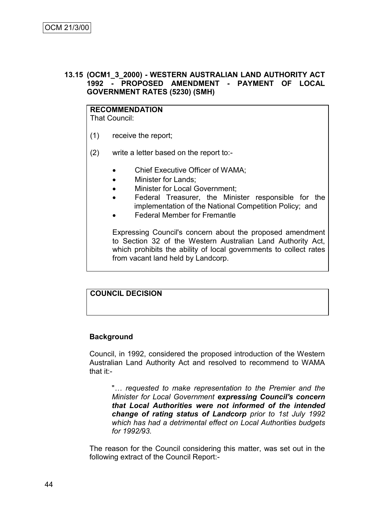# **13.15 (OCM1\_3\_2000) - WESTERN AUSTRALIAN LAND AUTHORITY ACT 1992 - PROPOSED AMENDMENT - PAYMENT OF LOCAL GOVERNMENT RATES (5230) (SMH)**

# **RECOMMENDATION**

That Council:

- (1) receive the report;
- (2) write a letter based on the report to:-
	- Chief Executive Officer of WAMA;
	- Minister for Lands;
	- Minister for Local Government;
	- Federal Treasurer, the Minister responsible for the implementation of the National Competition Policy; and
	- Federal Member for Fremantle

Expressing Council's concern about the proposed amendment to Section 32 of the Western Australian Land Authority Act, which prohibits the ability of local governments to collect rates from vacant land held by Landcorp.

# **COUNCIL DECISION**

# **Background**

Council, in 1992, considered the proposed introduction of the Western Australian Land Authority Act and resolved to recommend to WAMA that it:-

"*… requested to make representation to the Premier and the Minister for Local Government expressing Council's concern that Local Authorities were not informed of the intended change of rating status of Landcorp prior to 1st July 1992 which has had a detrimental effect on Local Authorities budgets for 1992/93.*

The reason for the Council considering this matter, was set out in the following extract of the Council Report:-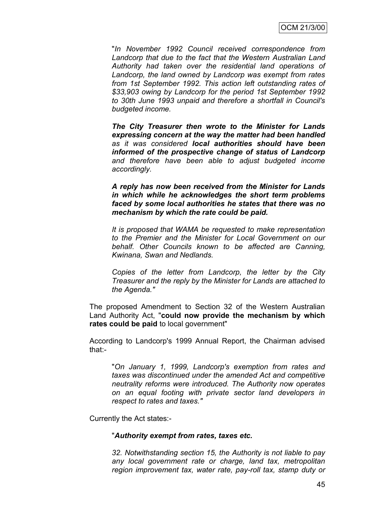"*In November 1992 Council received correspondence from Landcorp that due to the fact that the Western Australian Land Authority had taken over the residential land operations of Landcorp, the land owned by Landcorp was exempt from rates from 1st September 1992. This action left outstanding rates of \$33,903 owing by Landcorp for the period 1st September 1992 to 30th June 1993 unpaid and therefore a shortfall in Council's budgeted income.*

*The City Treasurer then wrote to the Minister for Lands expressing concern at the way the matter had been handled as it was considered local authorities should have been informed of the prospective change of status of Landcorp and therefore have been able to adjust budgeted income accordingly.*

*A reply has now been received from the Minister for Lands in which while he acknowledges the short term problems faced by some local authorities he states that there was no mechanism by which the rate could be paid.*

*It is proposed that WAMA be requested to make representation to the Premier and the Minister for Local Government on our behalf. Other Councils known to be affected are Canning, Kwinana, Swan and Nedlands.*

*Copies of the letter from Landcorp, the letter by the City Treasurer and the reply by the Minister for Lands are attached to the Agenda."*

The proposed Amendment to Section 32 of the Western Australian Land Authority Act, "**could now provide the mechanism by which rates could be paid** to local government"

According to Landcorp's 1999 Annual Report, the Chairman advised that:-

"*On January 1, 1999, Landcorp's exemption from rates and taxes was discontinued under the amended Act and competitive neutrality reforms were introduced. The Authority now operates on an equal footing with private sector land developers in respect to rates and taxes."*

Currently the Act states:-

#### "*Authority exempt from rates, taxes etc.*

*32. Notwithstanding section 15, the Authority is not liable to pay any local government rate or charge, land tax, metropolitan region improvement tax, water rate, pay-roll tax, stamp duty or*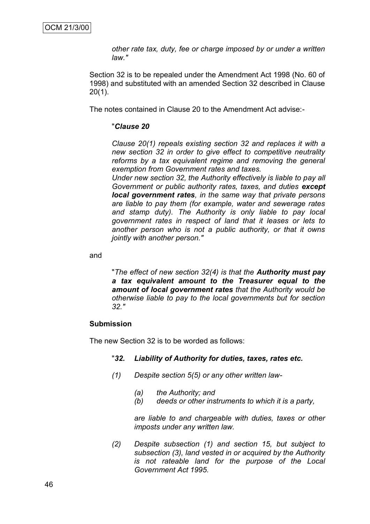*other rate tax, duty, fee or charge imposed by or under a written law."*

Section 32 is to be repealed under the Amendment Act 1998 (No. 60 of 1998) and substituted with an amended Section 32 described in Clause 20(1).

The notes contained in Clause 20 to the Amendment Act advise:-

#### "*Clause 20*

*Clause 20(1) repeals existing section 32 and replaces it with a new section 32 in order to give effect to competitive neutrality reforms by a tax equivalent regime and removing the general exemption from Government rates and taxes.*

*Under new section 32, the Authority effectively is liable to pay all Government or public authority rates, taxes, and duties except local government rates, in the same way that private persons are liable to pay them (for example, water and sewerage rates and stamp duty). The Authority is only liable to pay local government rates in respect of land that it leases or lets to another person who is not a public authority, or that it owns jointly with another person."*

and

"*The effect of new section 32(4) is that the Authority must pay a tax equivalent amount to the Treasurer equal to the amount of local government rates that the Authority would be otherwise liable to pay to the local governments but for section 32."*

#### **Submission**

The new Section 32 is to be worded as follows:

#### "*32. Liability of Authority for duties, taxes, rates etc.*

- *(1) Despite section 5(5) or any other written law-*
	- *(a) the Authority; and*
	- *(b) deeds or other instruments to which it is a party,*

*are liable to and chargeable with duties, taxes or other imposts under any written law.*

*(2) Despite subsection (1) and section 15, but subject to subsection (3), land vested in or acquired by the Authority is not rateable land for the purpose of the Local Government Act 1995.*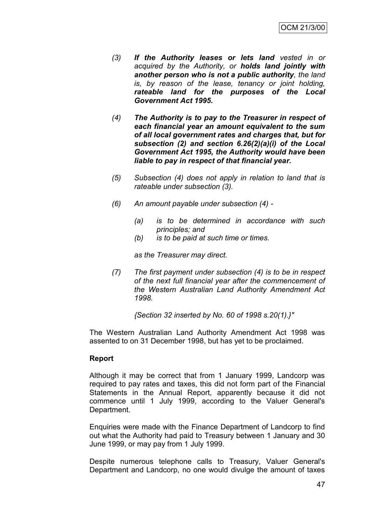- *(3) If the Authority leases or lets land vested in or acquired by the Authority, or holds land jointly with another person who is not a public authority, the land is, by reason of the lease, tenancy or joint holding, rateable land for the purposes of the Local Government Act 1995.*
- *(4) The Authority is to pay to the Treasurer in respect of each financial year an amount equivalent to the sum of all local government rates and charges that, but for subsection (2) and section 6.26(2)(a)(i) of the Local Government Act 1995, the Authority would have been liable to pay in respect of that financial year.*
- *(5) Subsection (4) does not apply in relation to land that is rateable under subsection (3).*
- *(6) An amount payable under subsection (4) -*
	- *(a) is to be determined in accordance with such principles; and*
	- *(b) is to be paid at such time or times.*

*as the Treasurer may direct.*

*(7) The first payment under subsection (4) is to be in respect of the next full financial year after the commencement of the Western Australian Land Authority Amendment Act 1998.*

*{Section 32 inserted by No. 60 of 1998 s.20(1).}"*

The Western Australian Land Authority Amendment Act 1998 was assented to on 31 December 1998, but has yet to be proclaimed.

# **Report**

Although it may be correct that from 1 January 1999, Landcorp was required to pay rates and taxes, this did not form part of the Financial Statements in the Annual Report, apparently because it did not commence until 1 July 1999, according to the Valuer General's Department.

Enquiries were made with the Finance Department of Landcorp to find out what the Authority had paid to Treasury between 1 January and 30 June 1999, or may pay from 1 July 1999.

Despite numerous telephone calls to Treasury, Valuer General's Department and Landcorp, no one would divulge the amount of taxes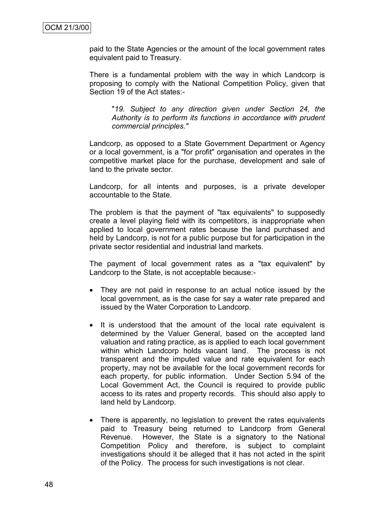paid to the State Agencies or the amount of the local government rates equivalent paid to Treasury.

There is a fundamental problem with the way in which Landcorp is proposing to comply with the National Competition Policy, given that Section 19 of the Act states:-

"*19. Subject to any direction given under Section 24, the Authority is to perform its functions in accordance with prudent commercial principles."*

Landcorp, as opposed to a State Government Department or Agency or a local government, is a "for profit" organisation and operates in the competitive market place for the purchase, development and sale of land to the private sector.

Landcorp, for all intents and purposes, is a private developer accountable to the State.

The problem is that the payment of "tax equivalents" to supposedly create a level playing field with its competitors, is inappropriate when applied to local government rates because the land purchased and held by Landcorp, is not for a public purpose but for participation in the private sector residential and industrial land markets.

The payment of local government rates as a "tax equivalent" by Landcorp to the State, is not acceptable because:-

- They are not paid in response to an actual notice issued by the local government, as is the case for say a water rate prepared and issued by the Water Corporation to Landcorp.
- It is understood that the amount of the local rate equivalent is determined by the Valuer General, based on the accepted land valuation and rating practice, as is applied to each local government within which Landcorp holds vacant land. The process is not transparent and the imputed value and rate equivalent for each property, may not be available for the local government records for each property, for public information. Under Section 5.94 of the Local Government Act, the Council is required to provide public access to its rates and property records. This should also apply to land held by Landcorp.
- There is apparently, no legislation to prevent the rates equivalents paid to Treasury being returned to Landcorp from General Revenue. However, the State is a signatory to the National Competition Policy and therefore, is subject to complaint investigations should it be alleged that it has not acted in the spirit of the Policy. The process for such investigations is not clear.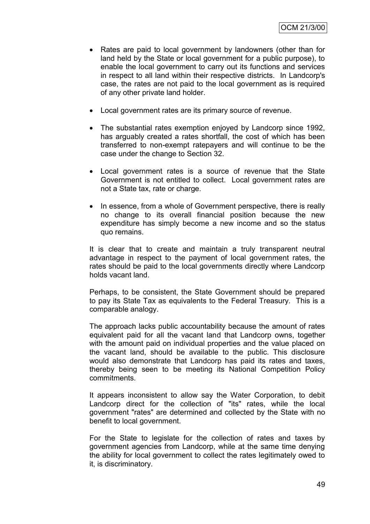- Rates are paid to local government by landowners (other than for land held by the State or local government for a public purpose), to enable the local government to carry out its functions and services in respect to all land within their respective districts. In Landcorp's case, the rates are not paid to the local government as is required of any other private land holder.
- Local government rates are its primary source of revenue.
- The substantial rates exemption enjoyed by Landcorp since 1992, has arguably created a rates shortfall, the cost of which has been transferred to non-exempt ratepayers and will continue to be the case under the change to Section 32.
- Local government rates is a source of revenue that the State Government is not entitled to collect. Local government rates are not a State tax, rate or charge.
- In essence, from a whole of Government perspective, there is really no change to its overall financial position because the new expenditure has simply become a new income and so the status quo remains.

It is clear that to create and maintain a truly transparent neutral advantage in respect to the payment of local government rates, the rates should be paid to the local governments directly where Landcorp holds vacant land.

Perhaps, to be consistent, the State Government should be prepared to pay its State Tax as equivalents to the Federal Treasury. This is a comparable analogy.

The approach lacks public accountability because the amount of rates equivalent paid for all the vacant land that Landcorp owns, together with the amount paid on individual properties and the value placed on the vacant land, should be available to the public. This disclosure would also demonstrate that Landcorp has paid its rates and taxes, thereby being seen to be meeting its National Competition Policy commitments.

It appears inconsistent to allow say the Water Corporation, to debit Landcorp direct for the collection of "its" rates, while the local government "rates" are determined and collected by the State with no benefit to local government.

For the State to legislate for the collection of rates and taxes by government agencies from Landcorp, while at the same time denying the ability for local government to collect the rates legitimately owed to it, is discriminatory.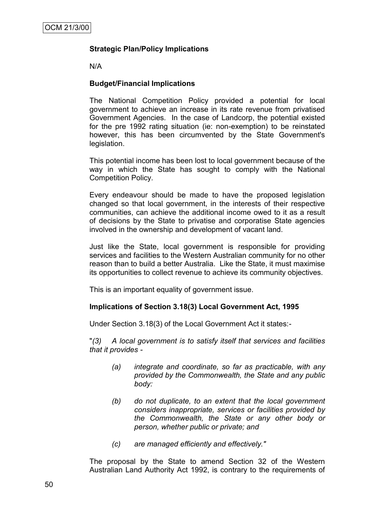# **Strategic Plan/Policy Implications**

N/A

# **Budget/Financial Implications**

The National Competition Policy provided a potential for local government to achieve an increase in its rate revenue from privatised Government Agencies. In the case of Landcorp, the potential existed for the pre 1992 rating situation (ie: non-exemption) to be reinstated however, this has been circumvented by the State Government's legislation.

This potential income has been lost to local government because of the way in which the State has sought to comply with the National Competition Policy.

Every endeavour should be made to have the proposed legislation changed so that local government, in the interests of their respective communities, can achieve the additional income owed to it as a result of decisions by the State to privatise and corporatise State agencies involved in the ownership and development of vacant land.

Just like the State, local government is responsible for providing services and facilities to the Western Australian community for no other reason than to build a better Australia. Like the State, it must maximise its opportunities to collect revenue to achieve its community objectives.

This is an important equality of government issue.

# **Implications of Section 3.18(3) Local Government Act, 1995**

Under Section 3.18(3) of the Local Government Act it states:-

"*(3) A local government is to satisfy itself that services and facilities that it provides -*

- *(a) integrate and coordinate, so far as practicable, with any provided by the Commonwealth, the State and any public body:*
- *(b) do not duplicate, to an extent that the local government considers inappropriate, services or facilities provided by the Commonwealth, the State or any other body or person, whether public or private; and*
- *(c) are managed efficiently and effectively."*

The proposal by the State to amend Section 32 of the Western Australian Land Authority Act 1992, is contrary to the requirements of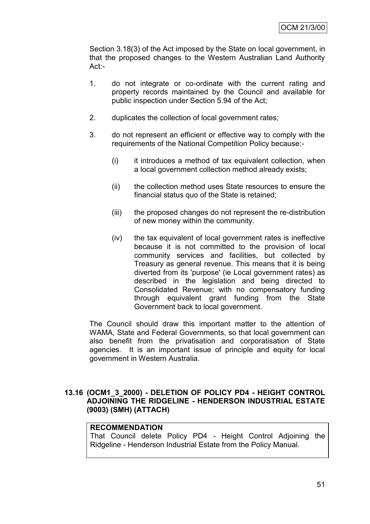Section 3.18(3) of the Act imposed by the State on local government, in that the proposed changes to the Western Australian Land Authority Act:-

- 1. do not integrate or co-ordinate with the current rating and property records maintained by the Council and available for public inspection under Section 5.94 of the Act;
- 2. duplicates the collection of local government rates;
- 3. do not represent an efficient or effective way to comply with the requirements of the National Competition Policy because:-
	- (i) it introduces a method of tax equivalent collection, when a local government collection method already exists;
	- (ii) the collection method uses State resources to ensure the financial status quo of the State is retained;
	- (iii) the proposed changes do not represent the re-distribution of new money within the community.
	- (iv) the tax equivalent of local government rates is ineffective because it is not committed to the provision of local community services and facilities, but collected by Treasury as general revenue. This means that it is being diverted from its 'purpose' (ie Local government rates) as described in the legislation and being directed to Consolidated Revenue; with no compensatory funding through equivalent grant funding from the State Government back to local government.

The Council should draw this important matter to the attention of WAMA, State and Federal Governments, so that local government can also benefit from the privatisation and corporatisation of State agencies. It is an important issue of principle and equity for local government in Western Australia.

# **13.16 (OCM1\_3\_2000) - DELETION OF POLICY PD4 - HEIGHT CONTROL ADJOINING THE RIDGELINE - HENDERSON INDUSTRIAL ESTATE (9003) (SMH) (ATTACH)**

# **RECOMMENDATION**

That Council delete Policy PD4 - Height Control Adjoining the Ridgeline - Henderson Industrial Estate from the Policy Manual.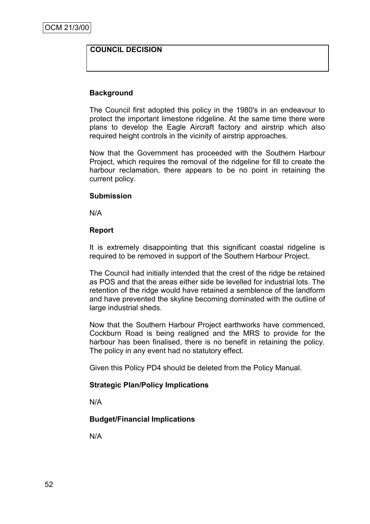# **COUNCIL DECISION**

# **Background**

The Council first adopted this policy in the 1980's in an endeavour to protect the important limestone ridgeline. At the same time there were plans to develop the Eagle Aircraft factory and airstrip which also required height controls in the vicinity of airstrip approaches.

Now that the Government has proceeded with the Southern Harbour Project, which requires the removal of the ridgeline for fill to create the harbour reclamation, there appears to be no point in retaining the current policy.

#### **Submission**

N/A

#### **Report**

It is extremely disappointing that this significant coastal ridgeline is required to be removed in support of the Southern Harbour Project.

The Council had initially intended that the crest of the ridge be retained as POS and that the areas either side be levelled for industrial lots. The retention of the ridge would have retained a semblence of the landform and have prevented the skyline becoming dominated with the outline of large industrial sheds.

Now that the Southern Harbour Project earthworks have commenced, Cockburn Road is being realigned and the MRS to provide for the harbour has been finalised, there is no benefit in retaining the policy. The policy in any event had no statutory effect.

Given this Policy PD4 should be deleted from the Policy Manual.

# **Strategic Plan/Policy Implications**

N/A

# **Budget/Financial Implications**

N/A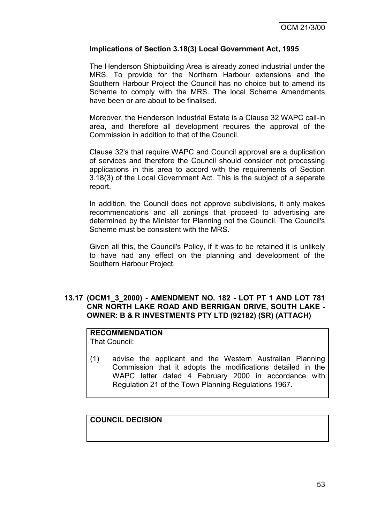# **Implications of Section 3.18(3) Local Government Act, 1995**

The Henderson Shipbuilding Area is already zoned industrial under the MRS. To provide for the Northern Harbour extensions and the Southern Harbour Project the Council has no choice but to amend its Scheme to comply with the MRS. The local Scheme Amendments have been or are about to be finalised.

Moreover, the Henderson Industrial Estate is a Clause 32 WAPC call-in area, and therefore all development requires the approval of the Commission in addition to that of the Council.

Clause 32's that require WAPC and Council approval are a duplication of services and therefore the Council should consider not processing applications in this area to accord with the requirements of Section 3.18(3) of the Local Government Act. This is the subject of a separate report.

In addition, the Council does not approve subdivisions, it only makes recommendations and all zonings that proceed to advertising are determined by the Minister for Planning not the Council. The Council's Scheme must be consistent with the MRS.

Given all this, the Council's Policy, if it was to be retained it is unlikely to have had any effect on the planning and development of the Southern Harbour Project.

#### **13.17 (OCM1\_3\_2000) - AMENDMENT NO. 182 - LOT PT 1 AND LOT 781 CNR NORTH LAKE ROAD AND BERRIGAN DRIVE, SOUTH LAKE - OWNER: B & R INVESTMENTS PTY LTD (92182) (SR) (ATTACH)**

# **RECOMMENDATION**

That Council:

(1) advise the applicant and the Western Australian Planning Commission that it adopts the modifications detailed in the WAPC letter dated 4 February 2000 in accordance with Regulation 21 of the Town Planning Regulations 1967.

# **COUNCIL DECISION**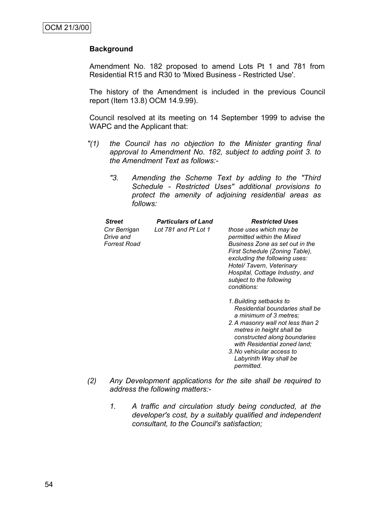# **Background**

Amendment No. 182 proposed to amend Lots Pt 1 and 781 from Residential R15 and R30 to 'Mixed Business - Restricted Use'.

The history of the Amendment is included in the previous Council report (Item 13.8) OCM 14.9.99).

Council resolved at its meeting on 14 September 1999 to advise the WAPC and the Applicant that:

- *"(1) the Council has no objection to the Minister granting final approval to Amendment No. 182, subject to adding point 3. to the Amendment Text as follows:-*
	- *"3. Amending the Scheme Text by adding to the "Third Schedule - Restricted Uses" additional provisions to protect the amenity of adjoining residential areas as follows:*

| <b>Street</b>                                    | <b>Particulars of Land</b> | <b>Restricted Uses</b>                                                                                                                                                                                                                                                 |
|--------------------------------------------------|----------------------------|------------------------------------------------------------------------------------------------------------------------------------------------------------------------------------------------------------------------------------------------------------------------|
| Cnr Berrigan<br>Drive and<br><b>Forrest Road</b> | Lot 781 and Pt Lot 1       | those uses which may be<br>permitted within the Mixed<br>Business Zone as set out in the<br>First Schedule (Zoning Table),<br>excluding the following uses:<br>Hotel/ Tavern, Veterinary<br>Hospital, Cottage Industry, and<br>subject to the following<br>conditions: |
|                                                  |                            | 1. Building setbacks to<br>Residential boundaries shall be<br>a minimum of 3 metres;<br>2. A masonry wall not less than 2<br>metres in height shall be<br>constructed along boundaries<br>with Residential zoned land;                                                 |

- *3.No vehicular access to Labyrinth Way shall be permitted.*
- *(2) Any Development applications for the site shall be required to address the following matters:-*
	- *1. A traffic and circulation study being conducted, at the developer's cost, by a suitably qualified and independent consultant, to the Council's satisfaction;*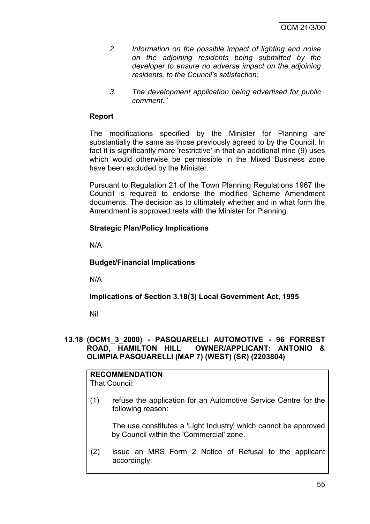- *2. Information on the possible impact of lighting and noise on the adjoining residents being submitted by the developer to ensure no adverse impact on the adjoining residents, to the Council's satisfaction;*
- *3. The development application being advertised for public comment."*

# **Report**

The modifications specified by the Minister for Planning are substantially the same as those previously agreed to by the Council. In fact it is significantly more 'restrictive' in that an additional nine (9) uses which would otherwise be permissible in the Mixed Business zone have been excluded by the Minister.

Pursuant to Regulation 21 of the Town Planning Regulations 1967 the Council is required to endorse the modified Scheme Amendment documents. The decision as to ultimately whether and in what form the Amendment is approved rests with the Minister for Planning.

# **Strategic Plan/Policy Implications**

N/A

# **Budget/Financial Implications**

N/A

**Implications of Section 3.18(3) Local Government Act, 1995**

Nil

#### **13.18 (OCM1\_3\_2000) - PASQUARELLI AUTOMOTIVE - 96 FORREST ROAD, HAMILTON HILL OWNER/APPLICANT: ANTONIO & OLIMPIA PASQUARELLI (MAP 7) (WEST) (SR) (2203804)**

# **RECOMMENDATION**

That Council:

(1) refuse the application for an Automotive Service Centre for the following reason:

The use constitutes a 'Light Industry' which cannot be approved by Council within the 'Commercial' zone.

(2) issue an MRS Form 2 Notice of Refusal to the applicant accordingly.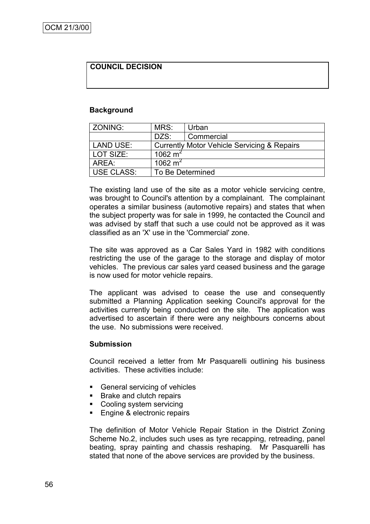# **COUNCIL DECISION**

#### **Background**

| <b>ZONING:</b>   | MRS:               | Urban                                                  |
|------------------|--------------------|--------------------------------------------------------|
|                  | DZS:               | Commercial                                             |
| <b>LAND USE:</b> |                    | <b>Currently Motor Vehicle Servicing &amp; Repairs</b> |
| LOT SIZE:        | 1062 $m2$          |                                                        |
| AREA:            | $1062 \text{ m}^2$ |                                                        |
| USE CLASS:       | To Be Determined   |                                                        |

The existing land use of the site as a motor vehicle servicing centre, was brought to Council's attention by a complainant. The complainant operates a similar business (automotive repairs) and states that when the subject property was for sale in 1999, he contacted the Council and was advised by staff that such a use could not be approved as it was classified as an 'X' use in the 'Commercial' zone.

The site was approved as a Car Sales Yard in 1982 with conditions restricting the use of the garage to the storage and display of motor vehicles. The previous car sales yard ceased business and the garage is now used for motor vehicle repairs.

The applicant was advised to cease the use and consequently submitted a Planning Application seeking Council's approval for the activities currently being conducted on the site. The application was advertised to ascertain if there were any neighbours concerns about the use. No submissions were received.

#### **Submission**

Council received a letter from Mr Pasquarelli outlining his business activities. These activities include:

- General servicing of vehicles
- Brake and clutch repairs
- Cooling system servicing
- **Engine & electronic repairs**

The definition of Motor Vehicle Repair Station in the District Zoning Scheme No.2, includes such uses as tyre recapping, retreading, panel beating, spray painting and chassis reshaping. Mr Pasquarelli has stated that none of the above services are provided by the business.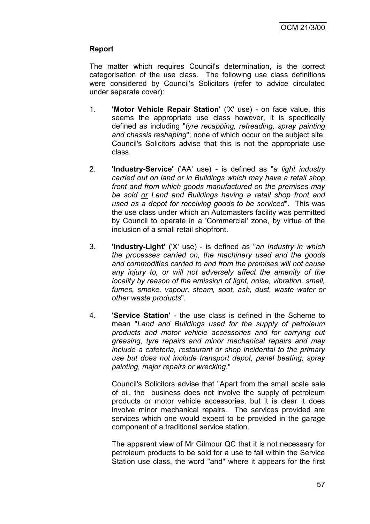# **Report**

The matter which requires Council's determination, is the correct categorisation of the use class. The following use class definitions were considered by Council's Solicitors (refer to advice circulated under separate cover):

- 1. **'Motor Vehicle Repair Station'** ('X' use) on face value, this seems the appropriate use class however, it is specifically defined as including "*tyre recapping, retreading, spray painting and chassis reshaping*"; none of which occur on the subject site. Council's Solicitors advise that this is not the appropriate use class.
- 2. **'Industry-Service'** ('AA' use) is defined as "*a light industry carried out on land or in Buildings which may have a retail shop front and from which goods manufactured on the premises may be sold or Land and Buildings having a retail shop front and used as a depot for receiving goods to be serviced*". This was the use class under which an Automasters facility was permitted by Council to operate in a 'Commercial' zone, by virtue of the inclusion of a small retail shopfront.
- 3. **'Industry-Light'** ('X' use) is defined as "*an Industry in which the processes carried on, the machinery used and the goods and commodities carried to and from the premises will not cause any injury to, or will not adversely affect the amenity of the locality by reason of the emission of light, noise, vibration, smell, fumes, smoke, vapour, steam, soot, ash, dust, waste water or other waste products*".
- 4. **'Service Station'** the use class is defined in the Scheme to mean "*Land and Buildings used for the supply of petroleum products and motor vehicle accessories and for carrying out greasing, tyre repairs and minor mechanical repairs and may include a cafeteria, restaurant or shop incidental to the primary use but does not include transport depot, panel beating, spray painting, major repairs or wrecking*."

Council's Solicitors advise that "Apart from the small scale sale of oil, the business does not involve the supply of petroleum products or motor vehicle accessories, but it is clear it does involve minor mechanical repairs. The services provided are services which one would expect to be provided in the garage component of a traditional service station.

The apparent view of Mr Gilmour QC that it is not necessary for petroleum products to be sold for a use to fall within the Service Station use class, the word "and" where it appears for the first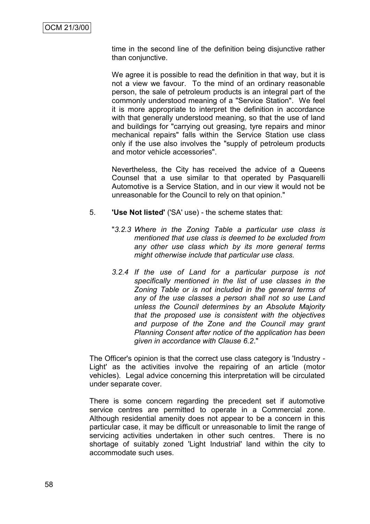time in the second line of the definition being disjunctive rather than conjunctive.

We agree it is possible to read the definition in that way, but it is not a view we favour. To the mind of an ordinary reasonable person, the sale of petroleum products is an integral part of the commonly understood meaning of a "Service Station". We feel it is more appropriate to interpret the definition in accordance with that generally understood meaning, so that the use of land and buildings for "carrying out greasing, tyre repairs and minor mechanical repairs" falls within the Service Station use class only if the use also involves the "supply of petroleum products and motor vehicle accessories".

Nevertheless, the City has received the advice of a Queens Counsel that a use similar to that operated by Pasquarelli Automotive is a Service Station, and in our view it would not be unreasonable for the Council to rely on that opinion."

- 5. **'Use Not listed'** ('SA' use) the scheme states that:
	- "*3.2.3 Where in the Zoning Table a particular use class is mentioned that use class is deemed to be excluded from any other use class which by its more general terms might otherwise include that particular use class.*
	- *3.2.4 If the use of Land for a particular purpose is not specifically mentioned in the list of use classes in the Zoning Table or is not included in the general terms of any of the use classes a person shall not so use Land unless the Council determines by an Absolute Majority that the proposed use is consistent with the objectives and purpose of the Zone and the Council may grant Planning Consent after notice of the application has been given in accordance with Clause 6.2*."

The Officer's opinion is that the correct use class category is 'Industry - Light' as the activities involve the repairing of an article (motor vehicles). Legal advice concerning this interpretation will be circulated under separate cover.

There is some concern regarding the precedent set if automotive service centres are permitted to operate in a Commercial zone. Although residential amenity does not appear to be a concern in this particular case, it may be difficult or unreasonable to limit the range of servicing activities undertaken in other such centres. There is no shortage of suitably zoned 'Light Industrial' land within the city to accommodate such uses.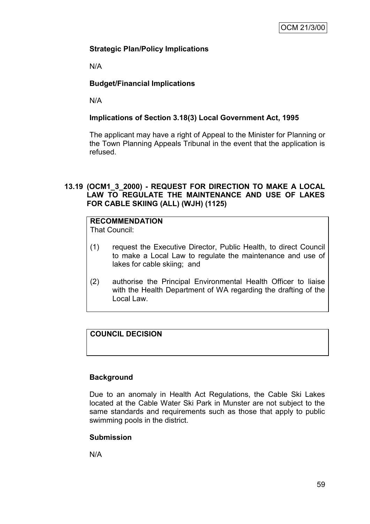# **Strategic Plan/Policy Implications**

N/A

# **Budget/Financial Implications**

N/A

# **Implications of Section 3.18(3) Local Government Act, 1995**

The applicant may have a right of Appeal to the Minister for Planning or the Town Planning Appeals Tribunal in the event that the application is refused.

# **13.19 (OCM1\_3\_2000) - REQUEST FOR DIRECTION TO MAKE A LOCAL LAW TO REGULATE THE MAINTENANCE AND USE OF LAKES FOR CABLE SKIING (ALL) (WJH) (1125)**

# **RECOMMENDATION**

That Council:

- (1) request the Executive Director, Public Health, to direct Council to make a Local Law to regulate the maintenance and use of lakes for cable skiing; and
- (2) authorise the Principal Environmental Health Officer to liaise with the Health Department of WA regarding the drafting of the Local Law.

# **COUNCIL DECISION**

# **Background**

Due to an anomaly in Health Act Regulations, the Cable Ski Lakes located at the Cable Water Ski Park in Munster are not subject to the same standards and requirements such as those that apply to public swimming pools in the district.

# **Submission**

N/A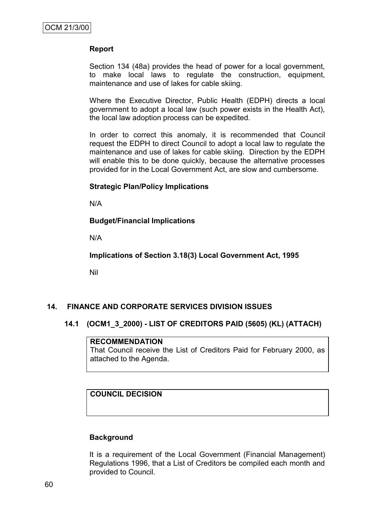# **Report**

Section 134 (48a) provides the head of power for a local government, to make local laws to regulate the construction, equipment, maintenance and use of lakes for cable skiing.

Where the Executive Director, Public Health (EDPH) directs a local government to adopt a local law (such power exists in the Health Act), the local law adoption process can be expedited.

In order to correct this anomaly, it is recommended that Council request the EDPH to direct Council to adopt a local law to regulate the maintenance and use of lakes for cable skiing. Direction by the EDPH will enable this to be done quickly, because the alternative processes provided for in the Local Government Act, are slow and cumbersome.

#### **Strategic Plan/Policy Implications**

N/A

# **Budget/Financial Implications**

N/A

**Implications of Section 3.18(3) Local Government Act, 1995**

Nil

# **14. FINANCE AND CORPORATE SERVICES DIVISION ISSUES**

# **14.1 (OCM1\_3\_2000) - LIST OF CREDITORS PAID (5605) (KL) (ATTACH)**

#### **RECOMMENDATION**

That Council receive the List of Creditors Paid for February 2000, as attached to the Agenda.

# **COUNCIL DECISION**

# **Background**

It is a requirement of the Local Government (Financial Management) Regulations 1996, that a List of Creditors be compiled each month and provided to Council.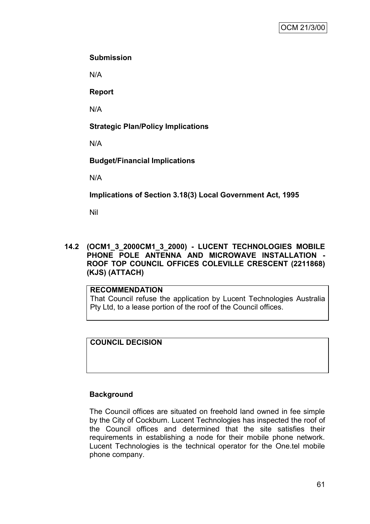# **Submission**

N/A

**Report**

N/A

# **Strategic Plan/Policy Implications**

N/A

# **Budget/Financial Implications**

N/A

**Implications of Section 3.18(3) Local Government Act, 1995**

Nil

**14.2 (OCM1\_3\_2000CM1\_3\_2000) - LUCENT TECHNOLOGIES MOBILE PHONE POLE ANTENNA AND MICROWAVE INSTALLATION - ROOF TOP COUNCIL OFFICES COLEVILLE CRESCENT (2211868) (KJS) (ATTACH)**

# **RECOMMENDATION**

That Council refuse the application by Lucent Technologies Australia Pty Ltd, to a lease portion of the roof of the Council offices.

# **COUNCIL DECISION**

# **Background**

The Council offices are situated on freehold land owned in fee simple by the City of Cockburn. Lucent Technologies has inspected the roof of the Council offices and determined that the site satisfies their requirements in establishing a node for their mobile phone network. Lucent Technologies is the technical operator for the One.tel mobile phone company.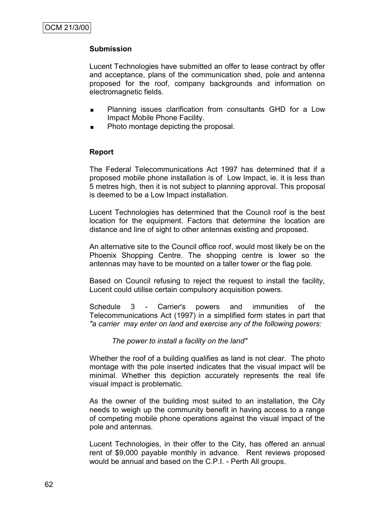# **Submission**

Lucent Technologies have submitted an offer to lease contract by offer and acceptance, plans of the communication shed, pole and antenna proposed for the roof, company backgrounds and information on electromagnetic fields.

- Planning issues clarification from consultants GHD for a Low Impact Mobile Phone Facility.
- Photo montage depicting the proposal.

# **Report**

The Federal Telecommunications Act 1997 has determined that if a proposed mobile phone installation is of Low Impact, ie. it is less than 5 metres high, then it is not subject to planning approval. This proposal is deemed to be a Low Impact installation.

Lucent Technologies has determined that the Council roof is the best location for the equipment. Factors that determine the location are distance and line of sight to other antennas existing and proposed.

An alternative site to the Council office roof, would most likely be on the Phoenix Shopping Centre. The shopping centre is lower so the antennas may have to be mounted on a taller tower or the flag pole.

Based on Council refusing to reject the request to install the facility, Lucent could utilise certain compulsory acquisition powers.

Schedule 3 - Carrier's powers and immunities of the Telecommunications Act (1997) in a simplified form states in part that *"a carrier may enter on land and exercise any of the following powers:*

#### *The power to install a facility on the land"*

Whether the roof of a building qualifies as land is not clear. The photo montage with the pole inserted indicates that the visual impact will be minimal. Whether this depiction accurately represents the real life visual impact is problematic.

As the owner of the building most suited to an installation, the City needs to weigh up the community benefit in having access to a range of competing mobile phone operations against the visual impact of the pole and antennas.

Lucent Technologies, in their offer to the City, has offered an annual rent of \$9,000 payable monthly in advance. Rent reviews proposed would be annual and based on the C.P.I. - Perth All groups.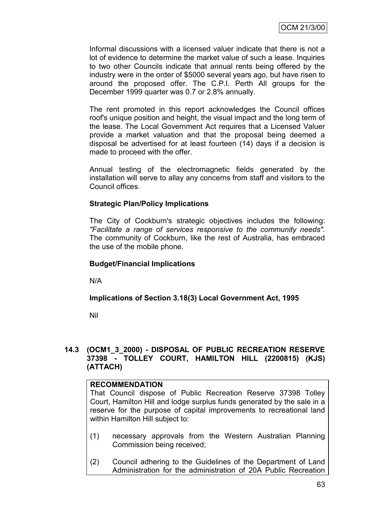Informal discussions with a licensed valuer indicate that there is not a lot of evidence to determine the market value of such a lease. Inquiries to two other Councils indicate that annual rents being offered by the industry were in the order of \$5000 several years ago, but have risen to around the proposed offer. The C.P.I. Perth All groups for the December 1999 quarter was 0.7 or 2.8% annually.

The rent promoted in this report acknowledges the Council offices roof's unique position and height, the visual impact and the long term of the lease. The Local Government Act requires that a Licensed Valuer provide a market valuation and that the proposal being deemed a disposal be advertised for at least fourteen (14) days if a decision is made to proceed with the offer.

Annual testing of the electromagnetic fields generated by the installation will serve to allay any concerns from staff and visitors to the Council offices.

# **Strategic Plan/Policy Implications**

The City of Cockburn's strategic objectives includes the following: *"Facilitate a range of services responsive to the community needs".* The community of Cockburn, like the rest of Australia, has embraced the use of the mobile phone.

# **Budget/Financial Implications**

N/A

# **Implications of Section 3.18(3) Local Government Act, 1995**

Nil

# **14.3 (OCM1\_3\_2000) - DISPOSAL OF PUBLIC RECREATION RESERVE 37398 - TOLLEY COURT, HAMILTON HILL (2200815) (KJS) (ATTACH)**

# **RECOMMENDATION**

That Council dispose of Public Recreation Reserve 37398 Tolley Court, Hamilton Hill and lodge surplus funds generated by the sale in a reserve for the purpose of capital improvements to recreational land within Hamilton Hill subject to:

- (1) necessary approvals from the Western Australian Planning Commission being received;
- (2) Council adhering to the Guidelines of the Department of Land Administration for the administration of 20A Public Recreation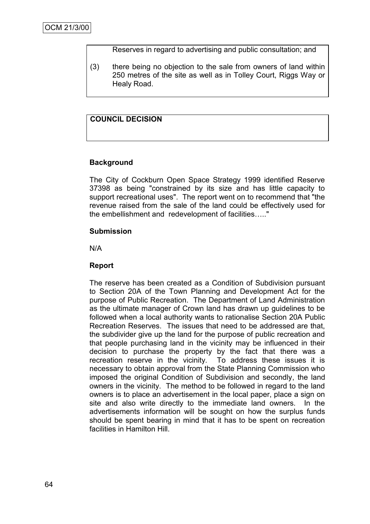Reserves in regard to advertising and public consultation; and

(3) there being no objection to the sale from owners of land within 250 metres of the site as well as in Tolley Court, Riggs Way or Healy Road.

# **COUNCIL DECISION**

# **Background**

The City of Cockburn Open Space Strategy 1999 identified Reserve 37398 as being "constrained by its size and has little capacity to support recreational uses". The report went on to recommend that "the revenue raised from the sale of the land could be effectively used for the embellishment and redevelopment of facilities….."

# **Submission**

N/A

# **Report**

The reserve has been created as a Condition of Subdivision pursuant to Section 20A of the Town Planning and Development Act for the purpose of Public Recreation. The Department of Land Administration as the ultimate manager of Crown land has drawn up guidelines to be followed when a local authority wants to rationalise Section 20A Public Recreation Reserves. The issues that need to be addressed are that, the subdivider give up the land for the purpose of public recreation and that people purchasing land in the vicinity may be influenced in their decision to purchase the property by the fact that there was a recreation reserve in the vicinity. To address these issues it is necessary to obtain approval from the State Planning Commission who imposed the original Condition of Subdivision and secondly, the land owners in the vicinity. The method to be followed in regard to the land owners is to place an advertisement in the local paper, place a sign on site and also write directly to the immediate land owners. In the advertisements information will be sought on how the surplus funds should be spent bearing in mind that it has to be spent on recreation facilities in Hamilton Hill.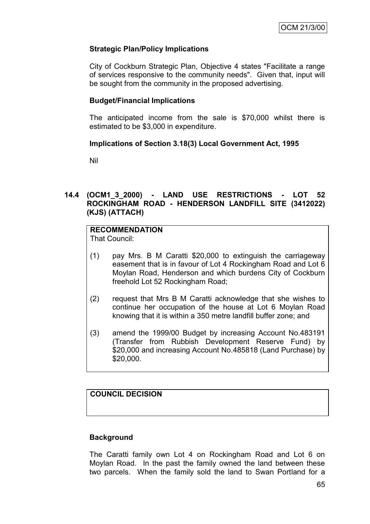# **Strategic Plan/Policy Implications**

City of Cockburn Strategic Plan, Objective 4 states "Facilitate a range of services responsive to the community needs". Given that, input will be sought from the community in the proposed advertising.

# **Budget/Financial Implications**

The anticipated income from the sale is \$70,000 whilst there is estimated to be \$3,000 in expenditure.

# **Implications of Section 3.18(3) Local Government Act, 1995**

Nil

# **14.4 (OCM1\_3\_2000) - LAND USE RESTRICTIONS - LOT 52 ROCKINGHAM ROAD - HENDERSON LANDFILL SITE (3412022) (KJS) (ATTACH)**

# **RECOMMENDATION**

That Council:

- (1) pay Mrs. B M Caratti \$20,000 to extinguish the carriageway easement that is in favour of Lot 4 Rockingham Road and Lot 6 Moylan Road, Henderson and which burdens City of Cockburn freehold Lot 52 Rockingham Road;
- (2) request that Mrs B M Caratti acknowledge that she wishes to continue her occupation of the house at Lot 6 Moylan Road knowing that it is within a 350 metre landfill buffer zone; and
- (3) amend the 1999/00 Budget by increasing Account No.483191 (Transfer from Rubbish Development Reserve Fund) by \$20,000 and increasing Account No.485818 (Land Purchase) by \$20,000.

# **COUNCIL DECISION**

# **Background**

The Caratti family own Lot 4 on Rockingham Road and Lot 6 on Moylan Road. In the past the family owned the land between these two parcels. When the family sold the land to Swan Portland for a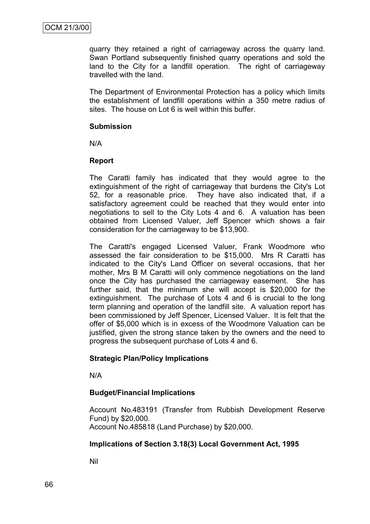quarry they retained a right of carriageway across the quarry land. Swan Portland subsequently finished quarry operations and sold the land to the City for a landfill operation. The right of carriageway travelled with the land.

The Department of Environmental Protection has a policy which limits the establishment of landfill operations within a 350 metre radius of sites. The house on Lot 6 is well within this buffer.

#### **Submission**

N/A

# **Report**

The Caratti family has indicated that they would agree to the extinguishment of the right of carriageway that burdens the City's Lot 52, for a reasonable price. They have also indicated that, if a satisfactory agreement could be reached that they would enter into negotiations to sell to the City Lots 4 and 6. A valuation has been obtained from Licensed Valuer, Jeff Spencer which shows a fair consideration for the carriageway to be \$13,900.

The Caratti's engaged Licensed Valuer, Frank Woodmore who assessed the fair consideration to be \$15,000. Mrs R Caratti has indicated to the City's Land Officer on several occasions, that her mother, Mrs B M Caratti will only commence negotiations on the land once the City has purchased the carriageway easement. She has further said, that the minimum she will accept is \$20,000 for the extinguishment. The purchase of Lots 4 and 6 is crucial to the long term planning and operation of the landfill site. A valuation report has been commissioned by Jeff Spencer, Licensed Valuer. It is felt that the offer of \$5,000 which is in excess of the Woodmore Valuation can be justified, given the strong stance taken by the owners and the need to progress the subsequent purchase of Lots 4 and 6.

# **Strategic Plan/Policy Implications**

N/A

# **Budget/Financial Implications**

Account No.483191 (Transfer from Rubbish Development Reserve Fund) by \$20,000. Account No.485818 (Land Purchase) by \$20,000.

# **Implications of Section 3.18(3) Local Government Act, 1995**

Nil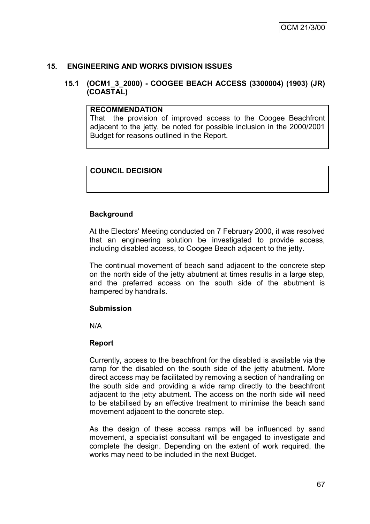# **15. ENGINEERING AND WORKS DIVISION ISSUES**

# **15.1 (OCM1\_3\_2000) - COOGEE BEACH ACCESS (3300004) (1903) (JR) (COASTAL)**

#### **RECOMMENDATION**

That the provision of improved access to the Coogee Beachfront adjacent to the jetty, be noted for possible inclusion in the 2000/2001 Budget for reasons outlined in the Report.

# **COUNCIL DECISION**

# **Background**

At the Electors' Meeting conducted on 7 February 2000, it was resolved that an engineering solution be investigated to provide access, including disabled access, to Coogee Beach adjacent to the jetty.

The continual movement of beach sand adjacent to the concrete step on the north side of the jetty abutment at times results in a large step, and the preferred access on the south side of the abutment is hampered by handrails.

#### **Submission**

N/A

# **Report**

Currently, access to the beachfront for the disabled is available via the ramp for the disabled on the south side of the jetty abutment. More direct access may be facilitated by removing a section of handrailing on the south side and providing a wide ramp directly to the beachfront adjacent to the jetty abutment. The access on the north side will need to be stabilised by an effective treatment to minimise the beach sand movement adjacent to the concrete step.

As the design of these access ramps will be influenced by sand movement, a specialist consultant will be engaged to investigate and complete the design. Depending on the extent of work required, the works may need to be included in the next Budget.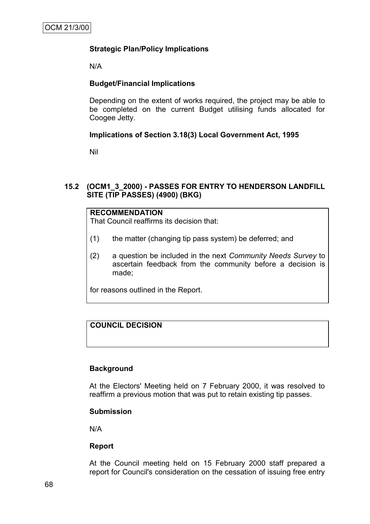# **Strategic Plan/Policy Implications**

N/A

# **Budget/Financial Implications**

Depending on the extent of works required, the project may be able to be completed on the current Budget utilising funds allocated for Coogee Jetty.

# **Implications of Section 3.18(3) Local Government Act, 1995**

Nil

# **15.2 (OCM1\_3\_2000) - PASSES FOR ENTRY TO HENDERSON LANDFILL SITE (TIP PASSES) (4900) (BKG)**

#### **RECOMMENDATION**

That Council reaffirms its decision that:

- (1) the matter (changing tip pass system) be deferred; and
- (2) a question be included in the next *Community Needs Survey* to ascertain feedback from the community before a decision is made;

for reasons outlined in the Report.

# **COUNCIL DECISION**

# **Background**

At the Electors' Meeting held on 7 February 2000, it was resolved to reaffirm a previous motion that was put to retain existing tip passes.

# **Submission**

N/A

# **Report**

At the Council meeting held on 15 February 2000 staff prepared a report for Council's consideration on the cessation of issuing free entry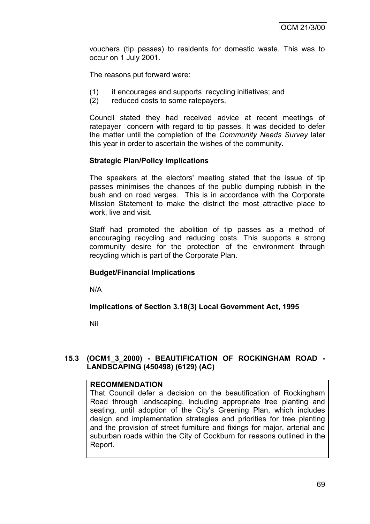vouchers (tip passes) to residents for domestic waste. This was to occur on 1 July 2001.

The reasons put forward were:

- (1) it encourages and supports recycling initiatives; and
- (2) reduced costs to some ratepayers.

Council stated they had received advice at recent meetings of ratepayer concern with regard to tip passes. It was decided to defer the matter until the completion of the *Community Needs Survey* later this year in order to ascertain the wishes of the community.

# **Strategic Plan/Policy Implications**

The speakers at the electors' meeting stated that the issue of tip passes minimises the chances of the public dumping rubbish in the bush and on road verges. This is in accordance with the Corporate Mission Statement to make the district the most attractive place to work, live and visit.

Staff had promoted the abolition of tip passes as a method of encouraging recycling and reducing costs. This supports a strong community desire for the protection of the environment through recycling which is part of the Corporate Plan.

# **Budget/Financial Implications**

N/A

#### **Implications of Section 3.18(3) Local Government Act, 1995**

Nil

# **15.3 (OCM1\_3\_2000) - BEAUTIFICATION OF ROCKINGHAM ROAD - LANDSCAPING (450498) (6129) (AC)**

# **RECOMMENDATION**

That Council defer a decision on the beautification of Rockingham Road through landscaping, including appropriate tree planting and seating, until adoption of the City's Greening Plan, which includes design and implementation strategies and priorities for tree planting and the provision of street furniture and fixings for major, arterial and suburban roads within the City of Cockburn for reasons outlined in the Report.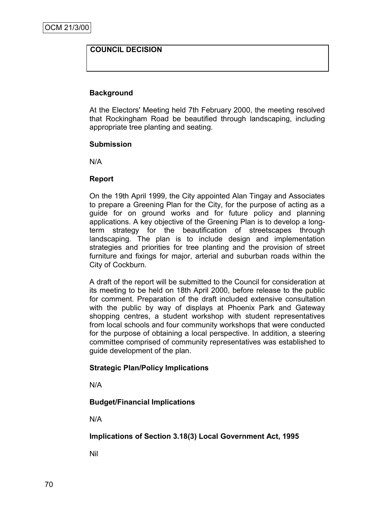# **COUNCIL DECISION**

# **Background**

At the Electors' Meeting held 7th February 2000, the meeting resolved that Rockingham Road be beautified through landscaping, including appropriate tree planting and seating.

#### **Submission**

N/A

#### **Report**

On the 19th April 1999, the City appointed Alan Tingay and Associates to prepare a Greening Plan for the City, for the purpose of acting as a guide for on ground works and for future policy and planning applications. A key objective of the Greening Plan is to develop a longterm strategy for the beautification of streetscapes through landscaping. The plan is to include design and implementation strategies and priorities for tree planting and the provision of street furniture and fixings for major, arterial and suburban roads within the City of Cockburn.

A draft of the report will be submitted to the Council for consideration at its meeting to be held on 18th April 2000, before release to the public for comment. Preparation of the draft included extensive consultation with the public by way of displays at Phoenix Park and Gateway shopping centres, a student workshop with student representatives from local schools and four community workshops that were conducted for the purpose of obtaining a local perspective. In addition, a steering committee comprised of community representatives was established to guide development of the plan.

# **Strategic Plan/Policy Implications**

N/A

# **Budget/Financial Implications**

N/A

# **Implications of Section 3.18(3) Local Government Act, 1995**

Nil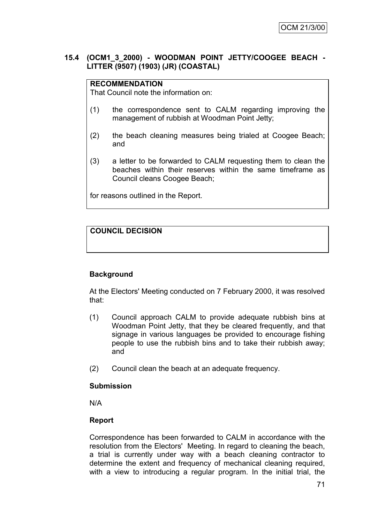# **15.4 (OCM1\_3\_2000) - WOODMAN POINT JETTY/COOGEE BEACH - LITTER (9507) (1903) (JR) (COASTAL)**

# **RECOMMENDATION**

That Council note the information on:

- (1) the correspondence sent to CALM regarding improving the management of rubbish at Woodman Point Jetty;
- (2) the beach cleaning measures being trialed at Coogee Beach; and
- (3) a letter to be forwarded to CALM requesting them to clean the beaches within their reserves within the same timeframe as Council cleans Coogee Beach;

for reasons outlined in the Report.

# **COUNCIL DECISION**

# **Background**

At the Electors' Meeting conducted on 7 February 2000, it was resolved that:

- (1) Council approach CALM to provide adequate rubbish bins at Woodman Point Jetty, that they be cleared frequently, and that signage in various languages be provided to encourage fishing people to use the rubbish bins and to take their rubbish away; and
- (2) Council clean the beach at an adequate frequency.

# **Submission**

N/A

# **Report**

Correspondence has been forwarded to CALM in accordance with the resolution from the Electors' Meeting. In regard to cleaning the beach, a trial is currently under way with a beach cleaning contractor to determine the extent and frequency of mechanical cleaning required, with a view to introducing a regular program. In the initial trial, the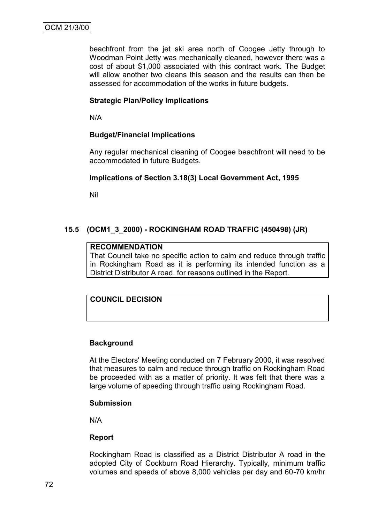beachfront from the jet ski area north of Coogee Jetty through to Woodman Point Jetty was mechanically cleaned, however there was a cost of about \$1,000 associated with this contract work. The Budget will allow another two cleans this season and the results can then be assessed for accommodation of the works in future budgets.

# **Strategic Plan/Policy Implications**

N/A

# **Budget/Financial Implications**

Any regular mechanical cleaning of Coogee beachfront will need to be accommodated in future Budgets.

# **Implications of Section 3.18(3) Local Government Act, 1995**

Nil

# **15.5 (OCM1\_3\_2000) - ROCKINGHAM ROAD TRAFFIC (450498) (JR)**

#### **RECOMMENDATION**

That Council take no specific action to calm and reduce through traffic in Rockingham Road as it is performing its intended function as a District Distributor A road. for reasons outlined in the Report.

# **COUNCIL DECISION**

# **Background**

At the Electors' Meeting conducted on 7 February 2000, it was resolved that measures to calm and reduce through traffic on Rockingham Road be proceeded with as a matter of priority. It was felt that there was a large volume of speeding through traffic using Rockingham Road.

# **Submission**

N/A

# **Report**

Rockingham Road is classified as a District Distributor A road in the adopted City of Cockburn Road Hierarchy. Typically, minimum traffic volumes and speeds of above 8,000 vehicles per day and 60-70 km/hr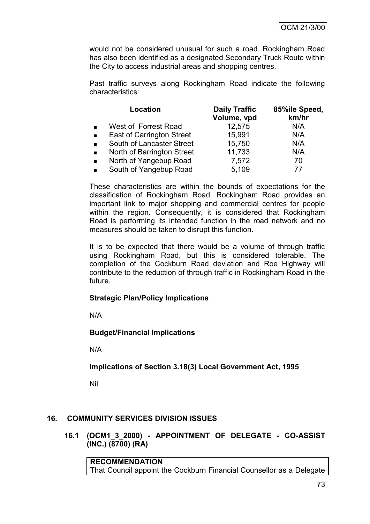would not be considered unusual for such a road. Rockingham Road has also been identified as a designated Secondary Truck Route within the City to access industrial areas and shopping centres.

Past traffic surveys along Rockingham Road indicate the following characteristics:

|                | Location                         | <b>Daily Traffic</b><br>Volume, vpd | 85%ile Speed,<br>km/hr |
|----------------|----------------------------------|-------------------------------------|------------------------|
|                | West of Forrest Road             | 12,575                              | N/A                    |
| $\blacksquare$ | <b>East of Carrington Street</b> | 15,991                              | N/A                    |
|                | South of Lancaster Street        | 15,750                              | N/A                    |
| $\blacksquare$ | North of Barrington Street       | 11,733                              | N/A                    |
| $\blacksquare$ | North of Yangebup Road           | 7,572                               | 70                     |
| $\blacksquare$ | South of Yangebup Road           | 5,109                               | 77                     |

These characteristics are within the bounds of expectations for the classification of Rockingham Road. Rockingham Road provides an important link to major shopping and commercial centres for people within the region. Consequently, it is considered that Rockingham Road is performing its intended function in the road network and no measures should be taken to disrupt this function.

It is to be expected that there would be a volume of through traffic using Rockingham Road, but this is considered tolerable. The completion of the Cockburn Road deviation and Roe Highway will contribute to the reduction of through traffic in Rockingham Road in the future.

# **Strategic Plan/Policy Implications**

N/A

# **Budget/Financial Implications**

N/A

**Implications of Section 3.18(3) Local Government Act, 1995**

Nil

# **16. COMMUNITY SERVICES DIVISION ISSUES**

**16.1 (OCM1\_3\_2000) - APPOINTMENT OF DELEGATE - CO-ASSIST (INC.) (8700) (RA)**

**RECOMMENDATION** That Council appoint the Cockburn Financial Counsellor as a Delegate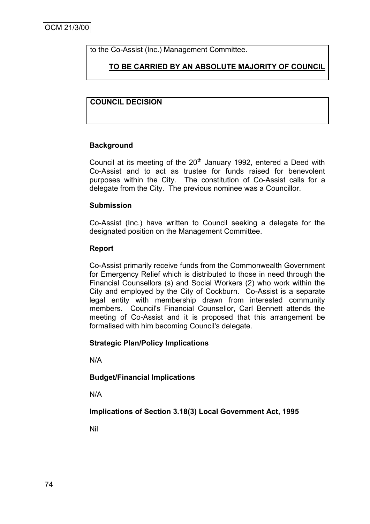to the Co-Assist (Inc.) Management Committee.

**TO BE CARRIED BY AN ABSOLUTE MAJORITY OF COUNCIL**

# **COUNCIL DECISION**

# **Background**

Council at its meeting of the  $20<sup>th</sup>$  January 1992, entered a Deed with Co-Assist and to act as trustee for funds raised for benevolent purposes within the City. The constitution of Co-Assist calls for a delegate from the City. The previous nominee was a Councillor.

# **Submission**

Co-Assist (Inc.) have written to Council seeking a delegate for the designated position on the Management Committee.

# **Report**

Co-Assist primarily receive funds from the Commonwealth Government for Emergency Relief which is distributed to those in need through the Financial Counsellors (s) and Social Workers (2) who work within the City and employed by the City of Cockburn. Co-Assist is a separate legal entity with membership drawn from interested community members. Council's Financial Counsellor, Carl Bennett attends the meeting of Co-Assist and it is proposed that this arrangement be formalised with him becoming Council's delegate.

# **Strategic Plan/Policy Implications**

N/A

# **Budget/Financial Implications**

N/A

# **Implications of Section 3.18(3) Local Government Act, 1995**

Nil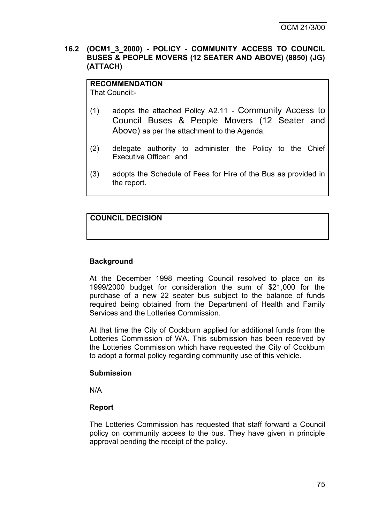#### **16.2 (OCM1\_3\_2000) - POLICY - COMMUNITY ACCESS TO COUNCIL BUSES & PEOPLE MOVERS (12 SEATER AND ABOVE) (8850) (JG) (ATTACH)**

**RECOMMENDATION** That Council:-

- (1) adopts the attached Policy A2.11 Community Access to Council Buses & People Movers (12 Seater and Above) as per the attachment to the Agenda;
- (2) delegate authority to administer the Policy to the Chief Executive Officer; and
- (3) adopts the Schedule of Fees for Hire of the Bus as provided in the report.

# **COUNCIL DECISION**

# **Background**

At the December 1998 meeting Council resolved to place on its 1999/2000 budget for consideration the sum of \$21,000 for the purchase of a new 22 seater bus subject to the balance of funds required being obtained from the Department of Health and Family Services and the Lotteries Commission.

At that time the City of Cockburn applied for additional funds from the Lotteries Commission of WA. This submission has been received by the Lotteries Commission which have requested the City of Cockburn to adopt a formal policy regarding community use of this vehicle.

#### **Submission**

N/A

# **Report**

The Lotteries Commission has requested that staff forward a Council policy on community access to the bus. They have given in principle approval pending the receipt of the policy.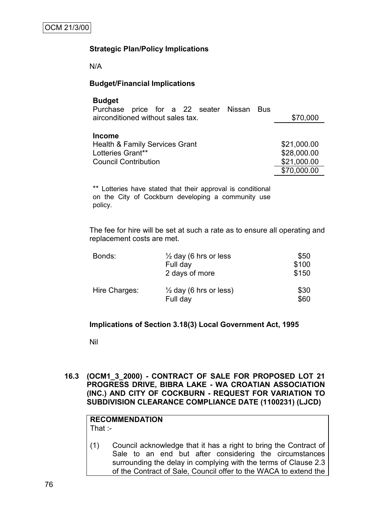# **Strategic Plan/Policy Implications**

N/A

# **Budget/Financial Implications**

#### **Budget**

| Purchase price for a 22 seater Nissan Bus |             |             |
|-------------------------------------------|-------------|-------------|
| airconditioned without sales tax.         | \$70,000    |             |
|                                           |             |             |
| <b>Income</b>                             |             |             |
| <b>Health &amp; Family Services Grant</b> |             | \$21,000.00 |
| Lotteries Grant**                         |             | \$28,000.00 |
| <b>Council Contribution</b>               | \$21,000.00 |             |
|                                           |             | \$70,000.00 |

\*\* Lotteries have stated that their approval is conditional on the City of Cockburn developing a community use policy.

The fee for hire will be set at such a rate as to ensure all operating and replacement costs are met.

| Bonds:        | $\frac{1}{2}$ day (6 hrs or less<br>Full day<br>2 days of more | \$50<br>\$100<br>\$150 |
|---------------|----------------------------------------------------------------|------------------------|
| Hire Charges: | $\frac{1}{2}$ day (6 hrs or less)<br>Full day                  | \$30<br>\$60           |

# **Implications of Section 3.18(3) Local Government Act, 1995**

Nil

**16.3 (OCM1\_3\_2000) - CONTRACT OF SALE FOR PROPOSED LOT 21 PROGRESS DRIVE, BIBRA LAKE - WA CROATIAN ASSOCIATION (INC.) AND CITY OF COCKBURN - REQUEST FOR VARIATION TO SUBDIVISION CLEARANCE COMPLIANCE DATE (1100231) (LJCD)**

# **RECOMMENDATION** That :-

(1) Council acknowledge that it has a right to bring the Contract of Sale to an end but after considering the circumstances surrounding the delay in complying with the terms of Clause 2.3 of the Contract of Sale, Council offer to the WACA to extend the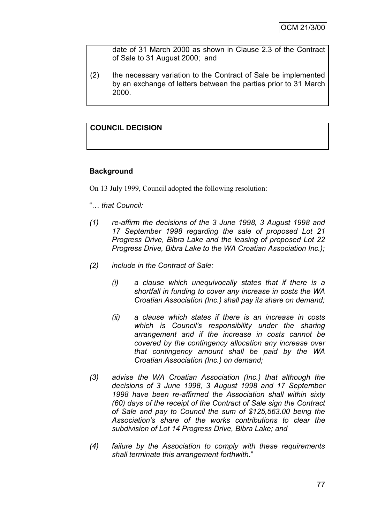date of 31 March 2000 as shown in Clause 2.3 of the Contract of Sale to 31 August 2000; and

(2) the necessary variation to the Contract of Sale be implemented by an exchange of letters between the parties prior to 31 March 2000.

# **COUNCIL DECISION**

# **Background**

On 13 July 1999, Council adopted the following resolution:

- "… *that Council:*
- *(1) re-affirm the decisions of the 3 June 1998, 3 August 1998 and 17 September 1998 regarding the sale of proposed Lot 21 Progress Drive, Bibra Lake and the leasing of proposed Lot 22 Progress Drive, Bibra Lake to the WA Croatian Association Inc.);*
- *(2) include in the Contract of Sale:*
	- *(i) a clause which unequivocally states that if there is a shortfall in funding to cover any increase in costs the WA Croatian Association (Inc.) shall pay its share on demand;*
	- *(ii) a clause which states if there is an increase in costs which is Council's responsibility under the sharing arrangement and if the increase in costs cannot be covered by the contingency allocation any increase over that contingency amount shall be paid by the WA Croatian Association (Inc.) on demand;*
- *(3) advise the WA Croatian Association (Inc.) that although the decisions of 3 June 1998, 3 August 1998 and 17 September 1998 have been re-affirmed the Association shall within sixty (60) days of the receipt of the Contract of Sale sign the Contract of Sale and pay to Council the sum of \$125,563.00 being the Association's share of the works contributions to clear the subdivision of Lot 14 Progress Drive, Bibra Lake; and*
- *(4) failure by the Association to comply with these requirements shall terminate this arrangement forthwith*."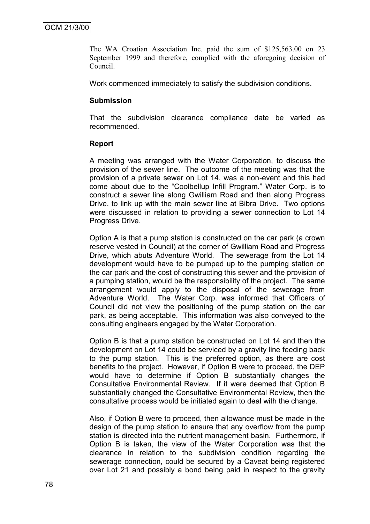The WA Croatian Association Inc. paid the sum of \$125,563.00 on 23 September 1999 and therefore, complied with the aforegoing decision of Council.

Work commenced immediately to satisfy the subdivision conditions.

#### **Submission**

That the subdivision clearance compliance date be varied as recommended.

#### **Report**

A meeting was arranged with the Water Corporation, to discuss the provision of the sewer line. The outcome of the meeting was that the provision of a private sewer on Lot 14, was a non-event and this had come about due to the "Coolbellup Infill Program." Water Corp. is to construct a sewer line along Gwilliam Road and then along Progress Drive, to link up with the main sewer line at Bibra Drive. Two options were discussed in relation to providing a sewer connection to Lot 14 Progress Drive.

Option A is that a pump station is constructed on the car park (a crown reserve vested in Council) at the corner of Gwilliam Road and Progress Drive, which abuts Adventure World. The sewerage from the Lot 14 development would have to be pumped up to the pumping station on the car park and the cost of constructing this sewer and the provision of a pumping station, would be the responsibility of the project. The same arrangement would apply to the disposal of the sewerage from Adventure World. The Water Corp. was informed that Officers of Council did not view the positioning of the pump station on the car park, as being acceptable. This information was also conveyed to the consulting engineers engaged by the Water Corporation.

Option B is that a pump station be constructed on Lot 14 and then the development on Lot 14 could be serviced by a gravity line feeding back to the pump station. This is the preferred option, as there are cost benefits to the project. However, if Option B were to proceed, the DEP would have to determine if Option B substantially changes the Consultative Environmental Review. If it were deemed that Option B substantially changed the Consultative Environmental Review, then the consultative process would be initiated again to deal with the change.

Also, if Option B were to proceed, then allowance must be made in the design of the pump station to ensure that any overflow from the pump station is directed into the nutrient management basin. Furthermore, if Option B is taken, the view of the Water Corporation was that the clearance in relation to the subdivision condition regarding the sewerage connection, could be secured by a Caveat being registered over Lot 21 and possibly a bond being paid in respect to the gravity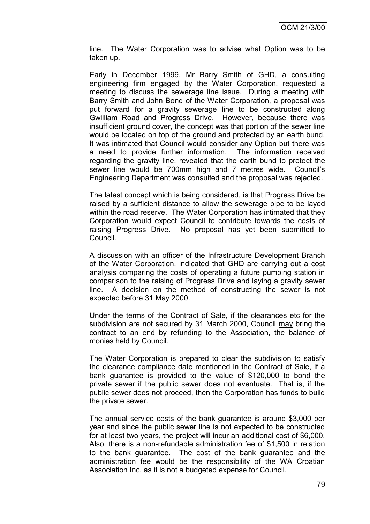line. The Water Corporation was to advise what Option was to be taken up.

Early in December 1999, Mr Barry Smith of GHD, a consulting engineering firm engaged by the Water Corporation, requested a meeting to discuss the sewerage line issue. During a meeting with Barry Smith and John Bond of the Water Corporation, a proposal was put forward for a gravity sewerage line to be constructed along Gwilliam Road and Progress Drive. However, because there was insufficient ground cover, the concept was that portion of the sewer line would be located on top of the ground and protected by an earth bund. It was intimated that Council would consider any Option but there was a need to provide further information. The information received regarding the gravity line, revealed that the earth bund to protect the sewer line would be 700mm high and 7 metres wide. Council's Engineering Department was consulted and the proposal was rejected.

The latest concept which is being considered, is that Progress Drive be raised by a sufficient distance to allow the sewerage pipe to be layed within the road reserve. The Water Corporation has intimated that they Corporation would expect Council to contribute towards the costs of raising Progress Drive. No proposal has yet been submitted to Council.

A discussion with an officer of the Infrastructure Development Branch of the Water Corporation, indicated that GHD are carrying out a cost analysis comparing the costs of operating a future pumping station in comparison to the raising of Progress Drive and laying a gravity sewer line. A decision on the method of constructing the sewer is not expected before 31 May 2000.

Under the terms of the Contract of Sale, if the clearances etc for the subdivision are not secured by 31 March 2000, Council may bring the contract to an end by refunding to the Association, the balance of monies held by Council.

The Water Corporation is prepared to clear the subdivision to satisfy the clearance compliance date mentioned in the Contract of Sale, if a bank guarantee is provided to the value of \$120,000 to bond the private sewer if the public sewer does not eventuate. That is, if the public sewer does not proceed, then the Corporation has funds to build the private sewer.

The annual service costs of the bank guarantee is around \$3,000 per year and since the public sewer line is not expected to be constructed for at least two years, the project will incur an additional cost of \$6,000. Also, there is a non-refundable administration fee of \$1,500 in relation to the bank guarantee. The cost of the bank guarantee and the administration fee would be the responsibility of the WA Croatian Association Inc. as it is not a budgeted expense for Council.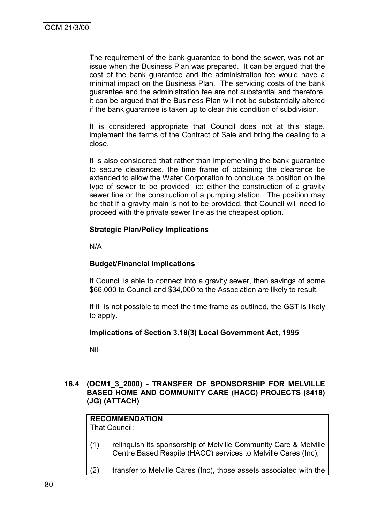The requirement of the bank guarantee to bond the sewer, was not an issue when the Business Plan was prepared. It can be argued that the cost of the bank guarantee and the administration fee would have a minimal impact on the Business Plan. The servicing costs of the bank guarantee and the administration fee are not substantial and therefore, it can be argued that the Business Plan will not be substantially altered if the bank guarantee is taken up to clear this condition of subdivision.

It is considered appropriate that Council does not at this stage, implement the terms of the Contract of Sale and bring the dealing to a close.

It is also considered that rather than implementing the bank guarantee to secure clearances, the time frame of obtaining the clearance be extended to allow the Water Corporation to conclude its position on the type of sewer to be provided ie: either the construction of a gravity sewer line or the construction of a pumping station. The position may be that if a gravity main is not to be provided, that Council will need to proceed with the private sewer line as the cheapest option.

#### **Strategic Plan/Policy Implications**

N/A

# **Budget/Financial Implications**

If Council is able to connect into a gravity sewer, then savings of some \$66,000 to Council and \$34,000 to the Association are likely to result.

If it is not possible to meet the time frame as outlined, the GST is likely to apply.

#### **Implications of Section 3.18(3) Local Government Act, 1995**

Nil

#### **16.4 (OCM1\_3\_2000) - TRANSFER OF SPONSORSHIP FOR MELVILLE BASED HOME AND COMMUNITY CARE (HACC) PROJECTS (8418) (JG) (ATTACH)**

# **RECOMMENDATION**

That Council:

- (1) relinquish its sponsorship of Melville Community Care & Melville Centre Based Respite (HACC) services to Melville Cares (Inc);
- (2) transfer to Melville Cares (Inc), those assets associated with the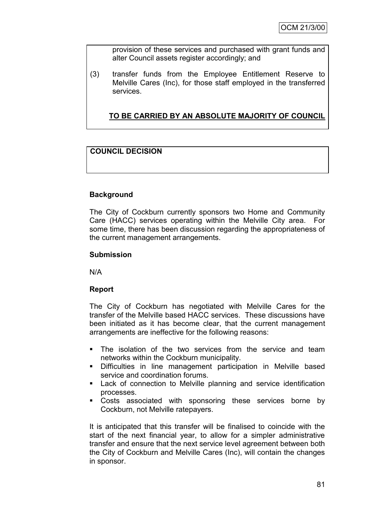provision of these services and purchased with grant funds and alter Council assets register accordingly; and

(3) transfer funds from the Employee Entitlement Reserve to Melville Cares (Inc), for those staff employed in the transferred services.

**TO BE CARRIED BY AN ABSOLUTE MAJORITY OF COUNCIL**

# **COUNCIL DECISION**

# **Background**

The City of Cockburn currently sponsors two Home and Community Care (HACC) services operating within the Melville City area. For some time, there has been discussion regarding the appropriateness of the current management arrangements.

#### **Submission**

N/A

# **Report**

The City of Cockburn has negotiated with Melville Cares for the transfer of the Melville based HACC services. These discussions have been initiated as it has become clear, that the current management arrangements are ineffective for the following reasons:

- The isolation of the two services from the service and team networks within the Cockburn municipality.
- Difficulties in line management participation in Melville based service and coordination forums.
- Lack of connection to Melville planning and service identification processes.
- Costs associated with sponsoring these services borne by Cockburn, not Melville ratepayers.

It is anticipated that this transfer will be finalised to coincide with the start of the next financial year, to allow for a simpler administrative transfer and ensure that the next service level agreement between both the City of Cockburn and Melville Cares (Inc), will contain the changes in sponsor.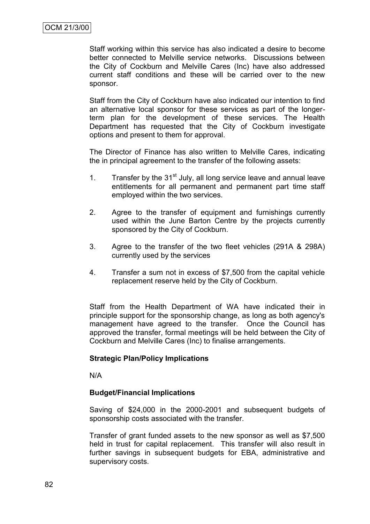Staff working within this service has also indicated a desire to become better connected to Melville service networks. Discussions between the City of Cockburn and Melville Cares (Inc) have also addressed current staff conditions and these will be carried over to the new sponsor.

Staff from the City of Cockburn have also indicated our intention to find an alternative local sponsor for these services as part of the longerterm plan for the development of these services. The Health Department has requested that the City of Cockburn investigate options and present to them for approval.

The Director of Finance has also written to Melville Cares, indicating the in principal agreement to the transfer of the following assets:

- 1. Transfer by the  $31<sup>st</sup>$  July, all long service leave and annual leave entitlements for all permanent and permanent part time staff employed within the two services.
- 2. Agree to the transfer of equipment and furnishings currently used within the June Barton Centre by the projects currently sponsored by the City of Cockburn.
- 3. Agree to the transfer of the two fleet vehicles (291A & 298A) currently used by the services
- 4. Transfer a sum not in excess of \$7,500 from the capital vehicle replacement reserve held by the City of Cockburn.

Staff from the Health Department of WA have indicated their in principle support for the sponsorship change, as long as both agency's management have agreed to the transfer. Once the Council has approved the transfer, formal meetings will be held between the City of Cockburn and Melville Cares (Inc) to finalise arrangements.

# **Strategic Plan/Policy Implications**

N/A

# **Budget/Financial Implications**

Saving of \$24,000 in the 2000-2001 and subsequent budgets of sponsorship costs associated with the transfer.

Transfer of grant funded assets to the new sponsor as well as \$7,500 held in trust for capital replacement. This transfer will also result in further savings in subsequent budgets for EBA, administrative and supervisory costs.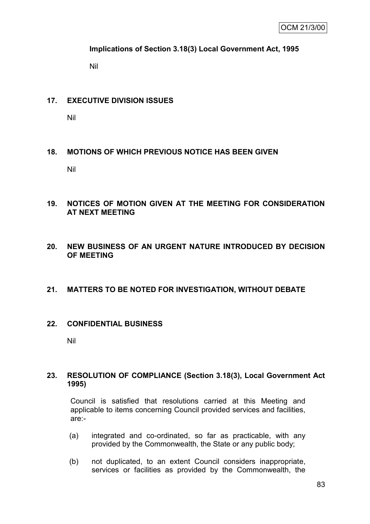# **Implications of Section 3.18(3) Local Government Act, 1995**

Nil

# **17. EXECUTIVE DIVISION ISSUES**

Nil

# **18. MOTIONS OF WHICH PREVIOUS NOTICE HAS BEEN GIVEN**

Nil

# **19. NOTICES OF MOTION GIVEN AT THE MEETING FOR CONSIDERATION AT NEXT MEETING**

**20. NEW BUSINESS OF AN URGENT NATURE INTRODUCED BY DECISION OF MEETING**

# **21. MATTERS TO BE NOTED FOR INVESTIGATION, WITHOUT DEBATE**

# **22. CONFIDENTIAL BUSINESS**

Nil

# **23. RESOLUTION OF COMPLIANCE (Section 3.18(3), Local Government Act 1995)**

Council is satisfied that resolutions carried at this Meeting and applicable to items concerning Council provided services and facilities, are:-

- (a) integrated and co-ordinated, so far as practicable, with any provided by the Commonwealth, the State or any public body;
- (b) not duplicated, to an extent Council considers inappropriate, services or facilities as provided by the Commonwealth, the